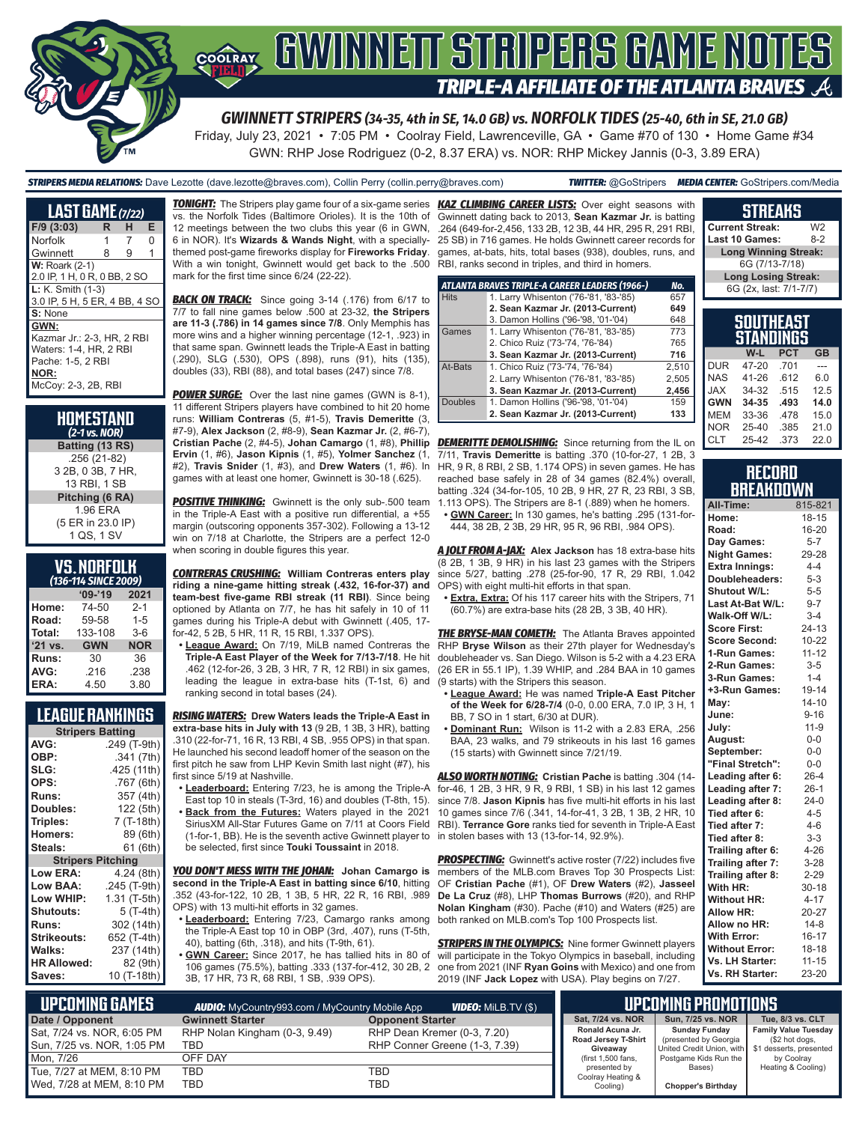

# **TRIPLE-A AFFILIATE OF THE ATLANTA BRAVES**

*GWINNETT STRIPERS (34-35, 4th in SE, 14.0 GB) vs. NORFOLK TIDES (25-40, 6th in SE, 21.0 GB)*

Friday, July 23, 2021 • 7:05 PM • Coolray Field, Lawrenceville, GA • Game #70 of 130 • Home Game #34 GWN: RHP Jose Rodriguez (0-2, 8.37 ERA) vs. NOR: RHP Mickey Jannis (0-3, 3.89 ERA)

*STRIPERS MEDIA RELATIONS:* Dave Lezotte (dave.lezotte@braves.com), Collin Perry (collin.perry@braves.com) *TWITTER:* @GoStripers *MEDIA CENTER:* GoStripers.com/Media

| <b>LAST GAME</b> (7/22)       |    |   |   |
|-------------------------------|----|---|---|
| $F/9$ (3:03)                  | R. | н | Е |
| Norfolk                       |    | 7 | O |
| Gwinnett                      | 8  | 9 | 1 |
| <b>W: Roark (2-1)</b>         |    |   |   |
| 2.0 IP, 1 H, 0 R, 0 BB, 2 SO  |    |   |   |
| L: K. Smith (1-3)             |    |   |   |
| 3.0 IP, 5 H, 5 ER, 4 BB, 4 SO |    |   |   |
| S: None                       |    |   |   |
| GWN:                          |    |   |   |
| Kazmar Jr.: 2-3, HR, 2 RBI    |    |   |   |
| Waters: 1-4, HR, 2 RBI        |    |   |   |
| Pache: 1-5, 2 RBI             |    |   |   |
| NOR:                          |    |   |   |
| McCoy: 2-3, 2B, RBI           |    |   |   |

| HOMESTAND<br>$(2-1)$ vs. NOR)                     |
|---------------------------------------------------|
| Batting (13 RS)                                   |
| .256 (21-82)<br>3 2B, 0 3B, 7 HR,<br>13 RBI. 1 SB |
| Pitching (6 RA)                                   |
| 1.96 ERA<br>(5 ER in 23.0 IP)<br>1 QS, 1 SV       |

| <b>VS.NORFOLK</b> |  |  |  |
|-------------------|--|--|--|
| $\lambda$         |  |  |  |

| (136-114 SINCE 2009) |            |            |  |  |  |
|----------------------|------------|------------|--|--|--|
| $09 - 19$<br>2021    |            |            |  |  |  |
| Home:                | 74-50      | $2 - 1$    |  |  |  |
| Road:                | 59-58      | $1 - 5$    |  |  |  |
| Total:               | 133-108    | $3-6$      |  |  |  |
| $'21$ vs.            | <b>GWN</b> | <b>NOR</b> |  |  |  |
| Runs:                | 30         | 36         |  |  |  |
| AVG:                 | .216       | .238       |  |  |  |
| ERA:                 | 4.50       | 3.80       |  |  |  |

### **LEAGUE RANKINGS**

| <b>Stripers Batting</b>  |              |  |  |  |
|--------------------------|--------------|--|--|--|
| AVG:                     | .249 (T-9th) |  |  |  |
| OBP:                     | .341 (7th)   |  |  |  |
| SLG:                     | .425 (11th)  |  |  |  |
| OPS:                     | .767 (6th)   |  |  |  |
| <b>Runs:</b>             | 357 (4th)    |  |  |  |
| <b>Doubles:</b>          | 122 (5th)    |  |  |  |
| Triples:                 | 7 (T-18th)   |  |  |  |
| <b>Homers:</b>           | 89 (6th)     |  |  |  |
| Steals:                  | 61 (6th)     |  |  |  |
| <b>Stripers Pitching</b> |              |  |  |  |
| <b>Low ERA:</b>          | 4.24 (8th)   |  |  |  |
| Low BAA:                 | .245 (T-9th) |  |  |  |
| Low WHIP:                | 1.31 (T-5th) |  |  |  |
| <b>Shutouts:</b>         | 5 (T-4th)    |  |  |  |
| <b>Runs:</b>             | 302 (14th)   |  |  |  |
| <b>Strikeouts:</b>       | 652 (T-4th)  |  |  |  |
| Walks:                   | 237 (14th)   |  |  |  |
| <b>HR Allowed:</b>       | 82 (9th)     |  |  |  |
| Saves:                   | 10 (T-18th)  |  |  |  |

vs. the Norfolk Tides (Baltimore Orioles). It is the 10th of 12 meetings between the two clubs this year (6 in GWN, 6 in NOR). It's **Wizards & Wands Night**, with a speciallythemed post-game fireworks display for **Fireworks Friday**. With a win tonight, Gwinnett would get back to the .500 RBI, ranks second in triples, and third in homers. mark for the first time since 6/24 (22-22).

**BACK ON TRACK:** Since going 3-14 (.176) from 6/17 to 7/7 to fall nine games below .500 at 23-32, **the Stripers are 11-3 (.786) in 14 games since 7/8**. Only Memphis has more wins and a higher winning percentage (12-1, .923) in that same span. Gwinnett leads the Triple-A East in batting (.290), SLG (.530), OPS (.898), runs (91), hits (135), doubles (33), RBI (88), and total bases (247) since 7/8.

**POWER SURGE:** Over the last nine games (GWN is 8-1), 11 different Stripers players have combined to hit 20 home runs: **William Contreras** (5, #1-5), **Travis Demeritte** (3, #7-9), **Alex Jackson** (2, #8-9), **Sean Kazmar Jr.** (2, #6-7), **Cristian Pache** (2, #4-5), **Johan Camargo** (1, #8), **Phillip**  *DEMERITTE DEMOLISHING:* Since returning from the IL on **Ervin** (1, #6), **Jason Kipnis** (1, #5), **Yolmer Sanchez** (1, #2), **Travis Snider** (1, #3), and **Drew Waters** (1, #6). In games with at least one homer, Gwinnett is 30-18 (.625).

**POSITIVE THINKING:** Gwinnett is the only sub-.500 team in the Triple-A East with a positive run differential, a +55 margin (outscoring opponents 357-302). Following a 13-12 win on 7/18 at Charlotte, the Stripers are a perfect 12-0 when scoring in double figures this year.

**riding a nine-game hitting streak (.432, 16-for-37) and team-best five-game RBI streak (11 RBI)**. Since being optioned by Atlanta on 7/7, he has hit safely in 10 of 11 games during his Triple-A debut with Gwinnett (.405, 17 for-42, 5 2B, 5 HR, 11 R, 15 RBI, 1.337 OPS).

**• League Award:** On 7/19, MiLB named Contreras the **Triple-A East Player of the Week for 7/13-7/18**. He hit .462 (12-for-26, 3 2B, 3 HR, 7 R, 12 RBI) in six games, leading the league in extra-base hits (T-1st, 6) and ranking second in total bases (24).

*RISING WATERS:* **Drew Waters leads the Triple-A East in extra-base hits in July with 13** (9 2B, 1 3B, 3 HR), batting .310 (22-for-71, 16 R, 13 RBI, 4 SB, .955 OPS) in that span. He launched his second leadoff homer of the season on the first pitch he saw from LHP Kevin Smith last night (#7), his first since 5/19 at Nashville.

- **• Leaderboard:** Entering 7/23, he is among the Triple-A East top 10 in steals (T-3rd, 16) and doubles (T-8th, 15). **• Back from the Futures:** Waters played in the 2021
- SiriusXM All-Star Futures Game on 7/11 at Coors Field (1-for-1, BB). He is the seventh active Gwinnett player to be selected, first since **Touki Toussaint** in 2018.

*YOU DON'T MESS WITH THE JOHAN:* **Johan Camargo is second in the Triple-A East in batting since 6/10**, hitting .352 (43-for-122, 10 2B, 1 3B, 5 HR, 22 R, 16 RBI, .989 OPS) with 13 multi-hit efforts in 32 games.

- **• Leaderboard:** Entering 7/23, Camargo ranks among the Triple-A East top 10 in OBP (3rd, .407), runs (T-5th, 40), batting (6th, .318), and hits (T-9th, 61).
- **• GWN Career:** Since 2017, he has tallied hits in 80 of 106 games (75.5%), batting .333 (137-for-412, 30 2B, 2 3B, 17 HR, 73 R, 68 RBI, 1 SB, .939 OPS).

*TONIGHT:* The Stripers play game four of a six-game series *KAZ CLIMBING CAREER LISTS:* Over eight seasons with Gwinnett dating back to 2013, **Sean Kazmar Jr.** is batting .264 (649-for-2,456, 133 2B, 12 3B, 44 HR, 295 R, 291 RBI, 25 SB) in 716 games. He holds Gwinnett career records for games, at-bats, hits, total bases (938), doubles, runs, and

|                | ATLANTA BRAVES TRIPLE-A CAREER LEADERS (1966-) | No.   |
|----------------|------------------------------------------------|-------|
| <b>Hits</b>    | 1. Larry Whisenton ('76-'81, '83-'85)          | 657   |
|                | 2. Sean Kazmar Jr. (2013-Current)              | 649   |
|                | 3. Damon Hollins ('96-'98, '01-'04)            | 648   |
| Games          | 1. Larry Whisenton ('76-'81, '83-'85)          | 773   |
|                | 2. Chico Ruiz ('73-'74, '76-'84)               | 765   |
|                | 3. Sean Kazmar Jr. (2013-Current)              | 716   |
| At-Bats        | 1. Chico Ruiz ('73-'74, '76-'84)               | 2,510 |
|                | 2. Larry Whisenton ('76-'81, '83-'85)          | 2,505 |
|                | 3. Sean Kazmar Jr. (2013-Current)              | 2,456 |
| <b>Doubles</b> | 1. Damon Hollins ('96-'98, '01-'04)            | 159   |
|                | 2. Sean Kazmar Jr. (2013-Current)              | 133   |

7/11, **Travis Demeritte** is batting .370 (10-for-27, 1 2B, 3 HR, 9 R, 8 RBI, 2 SB, 1.174 OPS) in seven games. He has reached base safely in 28 of 34 games (82.4%) overall, batting .324 (34-for-105, 10 2B, 9 HR, 27 R, 23 RBI, 3 SB, 1.113 OPS). The Stripers are 8-1 (.889) when he homers. **• GWN Career:** In 130 games, he's batting .295 (131-for-

444, 38 2B, 2 3B, 29 HR, 95 R, 96 RBI, .984 OPS).

*CONTRERAS CRUSHING:* **William Contreras enters play**  since 5/27, batting .278 (25-for-90, 17 R, 29 RBI, 1.042 *A JOLT FROM A-JAX:* **Alex Jackson** has 18 extra-base hits (8 2B, 1 3B, 9 HR) in his last 23 games with the Stripers OPS) with eight multi-hit efforts in that span.

**• Extra, Extra:** Of his 117 career hits with the Stripers, 71 (60.7%) are extra-base hits (28 2B, 3 3B, 40 HR).

**THE BRYSE-MAN COMETH:** The Atlanta Braves appointed RHP **Bryse Wilson** as their 27th player for Wednesday's doubleheader vs. San Diego. Wilson is 5-2 with a 4.23 ERA (26 ER in 55.1 IP), 1.39 WHIP, and .284 BAA in 10 games (9 starts) with the Stripers this season.

- **• League Award:** He was named **Triple-A East Pitcher of the Week for 6/28-7/4** (0-0, 0.00 ERA, 7.0 IP, 3 H, 1 BB, 7 SO in 1 start, 6/30 at DUR).
- **• Dominant Run:** Wilson is 11-2 with a 2.83 ERA, .256 BAA, 23 walks, and 79 strikeouts in his last 16 games (15 starts) with Gwinnett since 7/21/19.

*ALSO WORTH NOTING:* **Cristian Pache** is batting .304 (14 for-46, 1 2B, 3 HR, 9 R, 9 RBI, 1 SB) in his last 12 games since 7/8. **Jason Kipnis** has five multi-hit efforts in his last 10 games since 7/6 (.341, 14-for-41, 3 2B, 1 3B, 2 HR, 10 RBI). **Terrance Gore** ranks tied for seventh in Triple-A East in stolen bases with 13 (13-for-14, 92.9%).

**PROSPECTING:** Gwinnett's active roster (7/22) includes five members of the MLB.com Braves Top 30 Prospects List: OF **Cristian Pache** (#1), OF **Drew Waters** (#2), **Jasseel De La Cruz** (#8), LHP **Thomas Burrows** (#20), and RHP **Nolan Kingham** (#30). Pache (#10) and Waters (#25) are both ranked on MLB.com's Top 100 Prospects list.

**STRIPERS IN THE OLYMPICS:** Nine former Gwinnett players will participate in the Tokyo Olympics in baseball, including one from 2021 (INF **Ryan Goins** with Mexico) and one from 2019 (INF **Jack Lopez** with USA). Play begins on 7/27.

| опилно                               |                |
|--------------------------------------|----------------|
| <b>Current Streak:</b>               | W <sub>2</sub> |
| Last 10 Games:                       | 8-2            |
| <b>Long Winning Streak:</b>          |                |
| 6G (7/13-7/18)                       |                |
| <b>Long Losing Streak:</b>           |                |
| 6G (2x, last: 7/1-7/7)               |                |
|                                      |                |
| <b>SOUTHEAST</b><br><b>STANDINGS</b> |                |
|                                      |                |

**STREAKS**

| aianumua   |       |            |           |  |  |
|------------|-------|------------|-----------|--|--|
|            | $W-L$ | <b>PCT</b> | <b>GB</b> |  |  |
| <b>DUR</b> | 47-20 | .701       |           |  |  |
| <b>NAS</b> | 41-26 | .612       | 6.0       |  |  |
| <b>JAX</b> | 34-32 | .515       | 12.5      |  |  |
| <b>GWN</b> | 34-35 | .493       | 14.0      |  |  |
| <b>MEM</b> | 33-36 | .478       | 15.0      |  |  |
| <b>NOR</b> | 25-40 | .385       | 21.0      |  |  |
| <b>CLT</b> | 25-42 | .373       | 22.0      |  |  |

#### **RECORD RRFAKNOWN**

| All-Time:             | 815-821   |
|-----------------------|-----------|
| Home:                 | $18 - 15$ |
| Road:                 | 16-20     |
| Day Games:            | $5 - 7$   |
| <b>Night Games:</b>   | 29-28     |
| <b>Extra Innings:</b> | $4 - 4$   |
| Doubleheaders:        | $5 - 3$   |
| Shutout W/L:          | $5-5$     |
| Last At-Bat W/L:      | $9 - 7$   |
| Walk-Off W/L:         | $3 - 4$   |
| <b>Score First:</b>   | $24 - 13$ |
| <b>Score Second:</b>  | 10-22     |
| 1-Run Games:          | $11 - 12$ |
| 2-Run Games:          | $3-5$     |
| 3-Run Games:          | $1 - 4$   |
| +3-Run Games:         | 19-14     |
| Mav:                  | $14 - 10$ |
| June:                 | $9 - 16$  |
| July:                 | $11 - 9$  |
| August:               | $0-0$     |
| September:            | $0-0$     |
| "Final Stretch":      | $0 - 0$   |
| Leading after 6:      | $26 - 4$  |
| Leading after 7:      | $26-1$    |
| Leading after 8:      | $24-0$    |
| Tied after 6:         | $4 - 5$   |
| Tied after 7:         | $4 - 6$   |
| Tied after 8:         | $3 - 3$   |
| Trailing after 6:     | $4 - 26$  |
| Trailing after 7:     | $3 - 28$  |
| Trailing after 8:     | $2 - 29$  |
| With HR:              | $30 - 18$ |
| <b>Without HR:</b>    | $4 - 17$  |
| <b>Allow HR:</b>      | 20-27     |
| Allow no HR:          | $14 - 8$  |
| <b>With Error:</b>    | $16 - 17$ |
| <b>Without Error:</b> | 18-18     |
| Vs. LH Starter:       | $11 - 15$ |
| Vs. RH Starter:       | 23-20     |

| L UPCOMIÑG GAMES I<br><b>AUDIO:</b> MyCountry993.com / MyCountry Mobile App<br><b>VIDEO:</b> MiLB.TV (\$) |                               |                               | UPCOMING PROMOTIONS                     |                                                     |                                               |
|-----------------------------------------------------------------------------------------------------------|-------------------------------|-------------------------------|-----------------------------------------|-----------------------------------------------------|-----------------------------------------------|
| Date / Opponent                                                                                           | <b>Gwinnett Starter</b>       | <b>Opponent Starter</b>       | Sat, 7/24 vs. NOR                       | Sun, 7/25 vs. NOR                                   | Tue, 8/3 vs. CLT                              |
| Sat, 7/24 vs. NOR, 6:05 PM                                                                                | RHP Nolan Kingham (0-3, 9.49) | RHP Dean Kremer (0-3, 7.20)   | Ronald Acuna Jr.<br>Road Jersey T-Shirt | <b>Sunday Funday</b><br>(presented by Georgia       | <b>Family Value Tuesday</b><br>(\$2 hot dogs, |
| Sun, 7/25 vs. NOR, 1:05 PM                                                                                | TBD                           | RHP Conner Greene (1-3, 7.39) | Giveaway                                | United Credit Union, with   \$1 desserts, presented |                                               |
| Mon. 7/26                                                                                                 | OFF DAY                       |                               | (first 1,500 fans,                      | Postgame Kids Run the                               | by Coolray                                    |
| Tue, 7/27 at MEM, 8:10 PM                                                                                 | <b>TBD</b>                    | TBD                           | presented by<br>Coolray Heating &       | Bases)                                              | Heating & Cooling)                            |
| Wed, 7/28 at MEM, 8:10 PM                                                                                 | <b>TBD</b>                    | TBD                           | Cooling)                                | <b>Chopper's Birthday</b>                           |                                               |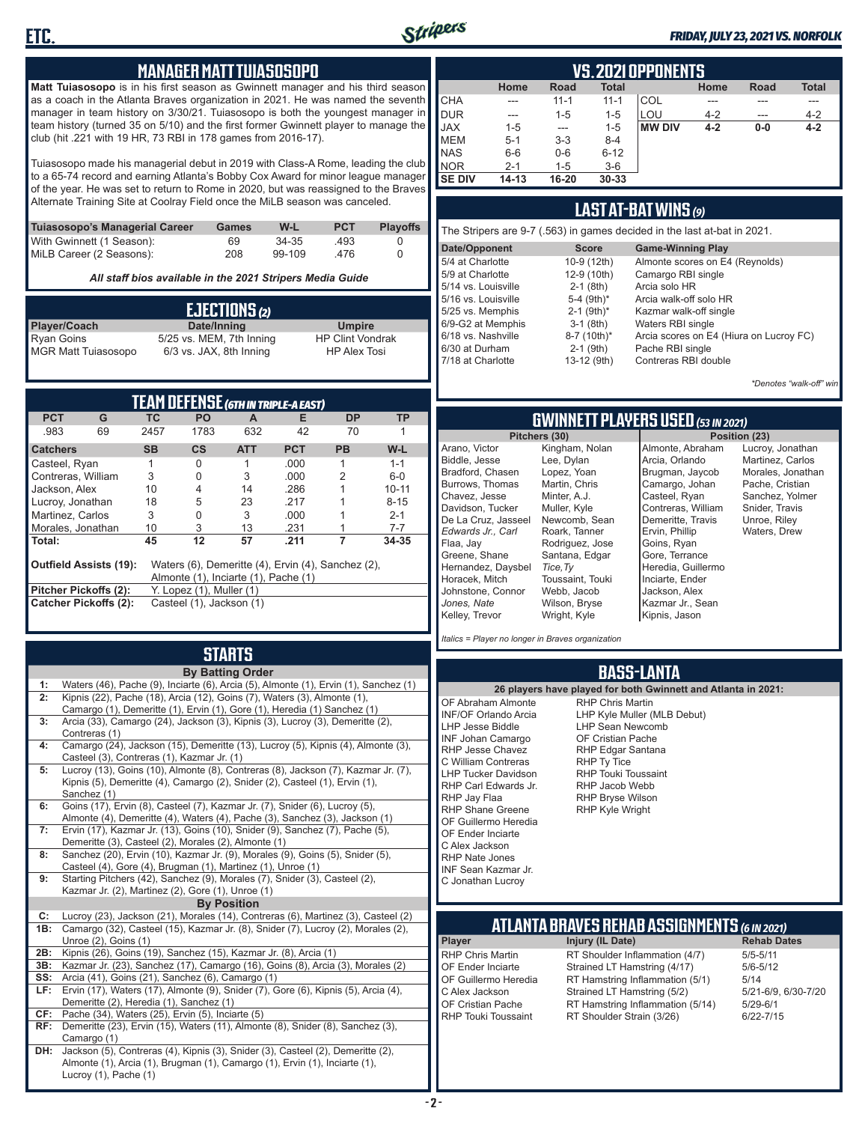

#### *FRIDAY, JULY 23, 2021 VS. NORFOLK*

#### **MANAGER MATT TUIASOSOPO**

**Matt Tuiasosopo** is in his first season as Gwinnett manager and his third season as a coach in the Atlanta Braves organization in 2021. He was named the seventh manager in team history on 3/30/21. Tuiasosopo is both the youngest manager in team history (turned 35 on 5/10) and the first former Gwinnett player to manage the club (hit .221 with 19 HR, 73 RBI in 178 games from 2016-17).

Tuiasosopo made his managerial debut in 2019 with Class-A Rome, leading the club to a 65-74 record and earning Atlanta's Bobby Cox Award for minor league manager of the year. He was set to return to Rome in 2020, but was reassigned to the Braves Alternate Training Site at Coolray Field once the MiLB season was canceled.

| Tuiasosopo's Managerial Career | Games | W-L    | <b>PCT</b> | <b>Plavoffs</b> |
|--------------------------------|-------|--------|------------|-----------------|
| With Gwinnett (1 Season):      | 69    | 34-35  | .493       |                 |
| MiLB Career (2 Seasons):       | 208   | 99-109 | -476       |                 |

*All staff bios available in the 2021 Stripers Media Guide*

|                                                 | EJECTIONS(2)             |                                                |
|-------------------------------------------------|--------------------------|------------------------------------------------|
| Player/Coach                                    | Date/Inning              | <b>Umpire</b>                                  |
| <b>Ryan Goins</b><br><b>MGR Matt Tuiasosopo</b> | 5/25 vs. MEM, 7th Inning | <b>HP Clint Vondrak</b><br><b>HP Alex Tosi</b> |
|                                                 | 6/3 vs. JAX, 8th Inning  |                                                |

| TEAM DEFENSE (6TH IN TRIPLE-A EAST) |                                                                                                                             |           |                                 |            |            |           |           |  |  |  |  |  |
|-------------------------------------|-----------------------------------------------------------------------------------------------------------------------------|-----------|---------------------------------|------------|------------|-----------|-----------|--|--|--|--|--|
| <b>PCT</b>                          | G                                                                                                                           | TC.       | <b>PO</b>                       | A          | Е          | DP        | ТP        |  |  |  |  |  |
| .983                                | 69                                                                                                                          | 2457      | 1783                            | 632        | 42         | 70        |           |  |  |  |  |  |
| <b>Catchers</b>                     |                                                                                                                             | <b>SB</b> | $\mathsf{cs}$                   | <b>ATT</b> | <b>PCT</b> | <b>PB</b> | W-L       |  |  |  |  |  |
| Casteel, Ryan                       |                                                                                                                             |           | 0                               |            | .000       |           | $1 - 1$   |  |  |  |  |  |
| Contreras, William                  |                                                                                                                             | 3         | 0                               | 3          | .000       | 2         | $6-0$     |  |  |  |  |  |
| Jackson, Alex                       |                                                                                                                             | 10        | 4                               | 14         | .286       |           | $10 - 11$ |  |  |  |  |  |
| Lucroy, Jonathan                    |                                                                                                                             | 18        | 5                               | 23         | 217        |           | $8 - 15$  |  |  |  |  |  |
| Martinez, Carlos                    |                                                                                                                             | 3         | O                               | 3          | .000       |           | $2 - 1$   |  |  |  |  |  |
| Morales, Jonathan                   |                                                                                                                             | 10        | 3                               | 13         | .231       |           | $7 - 7$   |  |  |  |  |  |
| Total:                              |                                                                                                                             | 45        | 12                              | 57         | .211       |           | 34-35     |  |  |  |  |  |
|                                     | <b>Outfield Assists (19):</b><br>Waters (6), Demeritte (4), Ervin (4), Sanchez (2),<br>Almonte (1), Inciarte (1), Pache (1) |           |                                 |            |            |           |           |  |  |  |  |  |
| Pitcher Pickoffs (2):               |                                                                                                                             |           | $Y.$ Lopez $(1)$ , Muller $(1)$ |            |            |           |           |  |  |  |  |  |
|                                     | <b>Catcher Pickoffs (2):</b>                                                                                                |           | Casteel (1), Jackson (1)        |            |            |           |           |  |  |  |  |  |

## **STARTS**

|     | <b>By Batting Order</b>                                                                                                         |
|-----|---------------------------------------------------------------------------------------------------------------------------------|
| 1:  | Waters (46), Pache (9), Inciarte (6), Arcia (5), Almonte (1), Ervin (1), Sanchez (1)                                            |
| 2:  | Kipnis (22), Pache (18), Arcia (12), Goins (7), Waters (3), Almonte (1),                                                        |
|     | Camargo (1), Demeritte (1), Ervin (1), Gore (1), Heredia (1) Sanchez (1)                                                        |
| 3:  | Arcia (33), Camargo (24), Jackson (3), Kipnis (3), Lucroy (3), Demeritte (2),                                                   |
|     | Contreras (1)                                                                                                                   |
| 4:  | Camargo (24), Jackson (15), Demeritte (13), Lucroy (5), Kipnis (4), Almonte (3),                                                |
| 5:  | Casteel (3), Contreras (1), Kazmar Jr. (1)<br>Lucroy (13), Goins (10), Almonte (8), Contreras (8), Jackson (7), Kazmar Jr. (7), |
|     | Kipnis (5), Demeritte (4), Camargo (2), Snider (2), Casteel (1), Ervin (1),                                                     |
|     | Sanchez (1)                                                                                                                     |
| 6:  | Goins (17), Ervin (8), Casteel (7), Kazmar Jr. (7), Snider (6), Lucroy (5),                                                     |
|     | Almonte (4), Demeritte (4), Waters (4), Pache (3), Sanchez (3), Jackson (1)                                                     |
| 7:  | Ervin (17), Kazmar Jr. (13), Goins (10), Snider (9), Sanchez (7), Pache (5),                                                    |
|     | Demeritte (3), Casteel (2), Morales (2), Almonte (1)                                                                            |
| 8:  | Sanchez (20), Ervin (10), Kazmar Jr. (9), Morales (9), Goins (5), Snider (5),                                                   |
|     | Casteel (4), Gore (4), Brugman (1), Martinez (1), Unroe (1)                                                                     |
| 9:  | Starting Pitchers (42), Sanchez (9), Morales (7), Snider (3), Casteel (2),                                                      |
|     | Kazmar Jr. (2), Martinez (2), Gore (1), Unroe (1)                                                                               |
|     | <b>By Position</b>                                                                                                              |
| C:  | Lucroy (23), Jackson (21), Morales (14), Contreras (6), Martinez (3), Casteel (2)                                               |
| 1B: | Camargo (32), Casteel (15), Kazmar Jr. (8), Snider (7), Lucroy (2), Morales (2),                                                |
|     | Unroe (2), Goins (1)                                                                                                            |
| 2B: | Kipnis (26), Goins (19), Sanchez (15), Kazmar Jr. (8), Arcia (1)                                                                |
| 3B: | Kazmar Jr. (23), Sanchez (17), Camargo (16), Goins (8), Arcia (3), Morales (2)                                                  |
| SS: | Arcia (41), Goins (21), Sanchez (6), Camargo (1)                                                                                |
| LF: | Ervin (17), Waters (17), Almonte (9), Snider (7), Gore (6), Kipnis (5), Arcia (4),                                              |
|     | Demeritte (2), Heredia (1), Sanchez (1)                                                                                         |
| CF: | Pache (34), Waters (25), Ervin (5), Inciarte (5)                                                                                |
| RF: | Demeritte (23), Ervin (15), Waters (11), Almonte (8), Snider (8), Sanchez (3),                                                  |
|     | Camargo (1)<br>Jackson (5), Contreras (4), Kipnis (3), Snider (3), Casteel (2), Demeritte (2),                                  |
| DH: | Almonte (1), Arcia (1), Brugman (1), Camargo (1), Ervin (1), Inciarte (1),                                                      |
|     | Lucroy (1), Pache (1)                                                                                                           |
|     |                                                                                                                                 |

|                | VS.2021 OPPONENTS |             |              |               |         |             |              |  |  |  |  |  |  |  |
|----------------|-------------------|-------------|--------------|---------------|---------|-------------|--------------|--|--|--|--|--|--|--|
|                | Home              | <b>Road</b> | <b>Total</b> |               | Home    | <b>Road</b> | <b>Total</b> |  |  |  |  |  |  |  |
| <b>CHA</b>     | ---               | $11 - 1$    | $11 - 1$     | COL           |         |             |              |  |  |  |  |  |  |  |
| DUR            | ---               | $1 - 5$     | $1 - 5$      | LOU           | $4 - 2$ | ---         | $4 - 2$      |  |  |  |  |  |  |  |
| <b>JAX</b>     | $1 - 5$           | ---         | $1 - 5$      | <b>MW DIV</b> | $4 - 2$ | $0-0$       | $4 - 2$      |  |  |  |  |  |  |  |
| <b>IMEM</b>    | $5 - 1$           | $3-3$       | $8 - 4$      |               |         |             |              |  |  |  |  |  |  |  |
| <b>NAS</b>     | $6-6$             | $0-6$       | $6 - 12$     |               |         |             |              |  |  |  |  |  |  |  |
| <b>INOR</b>    | $2 - 1$           | $1 - 5$     | $3-6$        |               |         |             |              |  |  |  |  |  |  |  |
| <b>ISE DIV</b> | $14 - 13$         | 16-20       | $30 - 33$    |               |         |             |              |  |  |  |  |  |  |  |

### **LAST AT-BAT WINS** *(9)*

| The Stripers are 9-7 (.563) in games decided in the last at-bat in 2021. |                          |                                         |  |  |  |  |  |  |  |
|--------------------------------------------------------------------------|--------------------------|-----------------------------------------|--|--|--|--|--|--|--|
| Date/Opponent                                                            | <b>Score</b>             | <b>Game-Winning Play</b>                |  |  |  |  |  |  |  |
| 5/4 at Charlotte                                                         | 10-9 (12th)              | Almonte scores on E4 (Reynolds)         |  |  |  |  |  |  |  |
| 5/9 at Charlotte                                                         | 12-9 (10th)              | Camargo RBI single                      |  |  |  |  |  |  |  |
| 5/14 vs. Louisville                                                      | $2-1$ (8th)              | Arcia solo HR                           |  |  |  |  |  |  |  |
| 5/16 vs. Louisville                                                      | 5-4 $(9th)*$             | Arcia walk-off solo HR                  |  |  |  |  |  |  |  |
| 5/25 vs. Memphis                                                         | $2-1$ (9th) <sup>*</sup> | Kazmar walk-off single                  |  |  |  |  |  |  |  |
| 6/9-G2 at Memphis                                                        | $3-1$ (8th)              | Waters RBI single                       |  |  |  |  |  |  |  |
| 6/18 vs. Nashville                                                       | 8-7 (10th)*              | Arcia scores on E4 (Hiura on Lucroy FC) |  |  |  |  |  |  |  |
| 6/30 at Durham                                                           | $2-1$ (9th)              | Pache RBI single                        |  |  |  |  |  |  |  |
| 7/18 at Charlotte                                                        | 13-12 (9th)              | Contreras RBI double                    |  |  |  |  |  |  |  |

*\*Denotes "walk-off" win*

Lucroy, Jonathan Martinez, Carlos Morales, Jonathan Pache, Cristian Sanchez, Yolmer Snider, Travis Unroe, Riley Waters, Drew

**Pitchers (30) Position (23)**

### **GWINNETT PLAYERS USED** *(53 IN 2021)*

|                     | Pitchers (30)    | Pos                |
|---------------------|------------------|--------------------|
| Arano, Victor       | Kingham, Nolan   | Almonte, Abraham   |
| Biddle, Jesse       | Lee, Dylan       | Arcia, Orlando     |
| Bradford. Chasen    | Lopez, Yoan      | Brugman, Jaycob    |
| Burrows, Thomas     | Martin, Chris    | Camargo, Johan     |
| Chavez, Jesse       | Minter, A.J.     | Casteel, Ryan      |
| Davidson, Tucker    | Muller, Kyle     | Contreras, William |
| De La Cruz, Jasseel | Newcomb, Sean    | Demeritte, Travis  |
| Edwards Jr Carl     | Roark, Tanner    | Ervin, Phillip     |
| Flaa, Jay           | Rodriguez, Jose  | Goins, Ryan        |
| Greene, Shane       | Santana, Edgar   | Gore, Terrance     |
| Hernandez, Daysbel  | Tice, Ty         | Heredia, Guillermo |
| Horacek, Mitch      | Toussaint, Touki | Inciarte, Ender    |
| Johnstone, Connor   | Webb, Jacob      | Jackson, Alex      |
| Jones, Nate         | Wilson, Bryse    | Kazmar Jr., Sean   |
| Kelley, Trevor      | Wright, Kyle     | Kipnis, Jason      |
|                     |                  |                    |

*Italics = Player no longer in Braves organization*

#### **BASS-LANTA**

**ATLANTA BRAVES REHAB ASSIGNMENTS** *(6 IN 2021)* **Player Injury (IL Date)** RHP Chris Martin RT Shoulder Inflammation (4/7) 5/5-5/11<br>CF Ender Inciarte Strained I T Hamstring (4/17) 5/6-5/12 OF Ender Inciarte Strained LT Hamstring (4/17) 5/6-5<br>OF Guillermo Heredia RT Hamstring Inflammation (5/1) 5/14 OF Guillermo Heredia RT Hamstring Inflammation (5/1) 5/14<br>C Alex Jackson Strained LT Hamstring (5/2) 5/21-6/9, 6/30-7/20 C Alex Jackson Strained LT Hamstring (5/2) 5/21-6/9,<br>OF Cristian Pache RT Hamstring Inflammation (5/14) 5/29-6/1 OF Cristian Pache RT Hamstring Inflammation (5/14)<br>RHP Touki Toussaint RT Shoulder Strain (3/26) RT Shoulder Strain (3/26) 6/22-7/15 **26 players have played for both Gwinnett and Atlanta in 2021:** OF Abraham Almonte INF/OF Orlando Arcia LHP Jesse Biddle INF Johan Camargo RHP Jesse Chavez C William Contreras LHP Tucker Davidson RHP Carl Edwards Jr. RHP Jay Flaa RHP Shane Greene OF Guillermo Heredia OF Ender Inciarte C Alex Jackson RHP Nate Jones INF Sean Kazmar Jr. C Jonathan Lucroy RHP Chris Martin LHP Kyle Muller (MLB Debut) LHP Sean Newcomb OF Cristian Pache RHP Edgar Santana RHP Ty Tice RHP Touki Toussaint RHP Jacob Webb RHP Bryse Wilson RHP Kyle Wright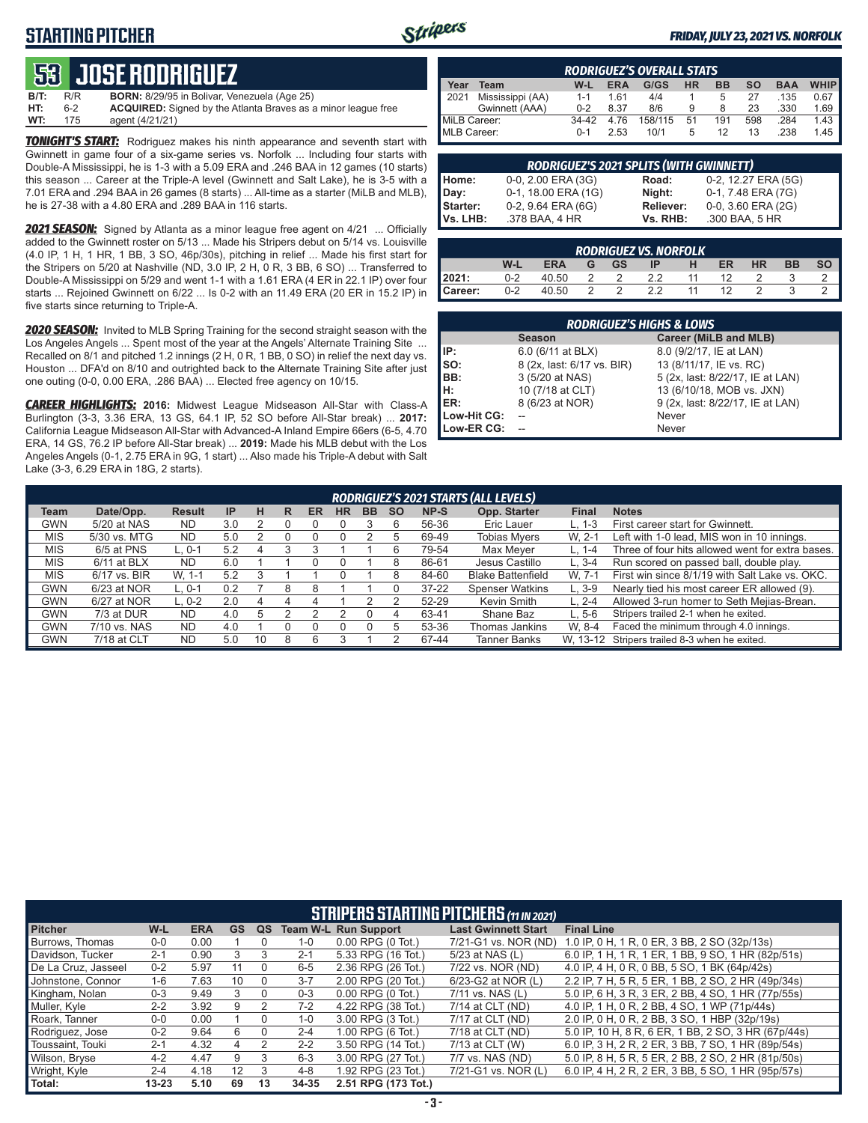## **STARTING PITCHER**



#### *FRIDAY, JULY 23, 2021 VS. NORFOLK*

## **53****JOSE RODRIGUEZ**

**B/T:** R/R **BORN:** 8/29/95 in Bolivar, Venezuela (Age 25) 6-2 **ACQUIRED:** Signed by the Atlanta Braves as a minor league free<br>175 agent (4/21/21) **WT:** 175 agent (4/21/21)

**TONIGHT'S START:** Rodriguez makes his ninth appearance and seventh start with Gwinnett in game four of a six-game series vs. Norfolk ... Including four starts with Double-A Mississippi, he is 1-3 with a 5.09 ERA and .246 BAA in 12 games (10 starts) this season ... Career at the Triple-A level (Gwinnett and Salt Lake), he is 3-5 with a 7.01 ERA and .294 BAA in 26 games (8 starts) ... All-time as a starter (MiLB and MLB), he is 27-38 with a 4.80 ERA and .289 BAA in 116 starts.

*2021 SEASON:* Signed by Atlanta as a minor league free agent on 4/21 ... Officially added to the Gwinnett roster on 5/13 ... Made his Stripers debut on 5/14 vs. Louisville (4.0 IP, 1 H, 1 HR, 1 BB, 3 SO, 46p/30s), pitching in relief ... Made his first start for the Stripers on 5/20 at Nashville (ND, 3.0 IP, 2 H, 0 R, 3 BB, 6 SO) ... Transferred to Double-A Mississippi on 5/29 and went 1-1 with a 1.61 ERA (4 ER in 22.1 IP) over four starts ... Rejoined Gwinnett on 6/22 ... Is 0-2 with an 11.49 ERA (20 ER in 15.2 IP) in five starts since returning to Triple-A.

*2020 SEASON:* Invited to MLB Spring Training for the second straight season with the Los Angeles Angels ... Spent most of the year at the Angels' Alternate Training Site ... Recalled on 8/1 and pitched 1.2 innings (2 H, 0 R, 1 BB, 0 SO) in relief the next day vs. Houston ... DFA'd on 8/10 and outrighted back to the Alternate Training Site after just one outing (0-0, 0.00 ERA, .286 BAA) ... Elected free agency on 10/15.

*CAREER HIGHLIGHTS:* **2016:** Midwest League Midseason All-Star with Class-A Burlington (3-3, 3.36 ERA, 13 GS, 64.1 IP, 52 SO before All-Star break) ... **2017:** California League Midseason All-Star with Advanced-A Inland Empire 66ers (6-5, 4.70 ERA, 14 GS, 76.2 IP before All-Star break) ... **2019:** Made his MLB debut with the Los Angeles Angels (0-1, 2.75 ERA in 9G, 1 start) ... Also made his Triple-A debut with Salt Lake (3-3, 6.29 ERA in 18G, 2 starts).

|              | <b>RODRIGUEZ'S OVERALL STATS</b> |         |            |         |           |           |     |            |             |  |  |  |  |
|--------------|----------------------------------|---------|------------|---------|-----------|-----------|-----|------------|-------------|--|--|--|--|
| Year         | Team                             | W-L     | <b>ERA</b> | G/GS    | <b>HR</b> | <b>BB</b> | so  | <b>BAA</b> | <b>WHIP</b> |  |  |  |  |
| 12021        | Mississippi (AA)                 | $1 - 1$ | 161        | 4/4     |           | 5         | 27  | .135       | 0.67        |  |  |  |  |
|              | Gwinnett (AAA)                   | $0 - 2$ | 8.37       | 8/6     | 9         | 8         | 23  | .330       | 1.69        |  |  |  |  |
| MiLB Career: |                                  | $34-42$ | 4.76       | 158/115 | 51        | 191       | 598 | .284       | 1.43        |  |  |  |  |
| MLB Career:  |                                  | $0 - 1$ | 2.53       | 10/1    | 5         | 12        | 13  | .238       | 1.45        |  |  |  |  |

| RODRIGUEZ'S 2021 SPLITS (WITH GWINNETT) |                     |                  |                         |  |  |  |  |  |  |  |  |
|-----------------------------------------|---------------------|------------------|-------------------------|--|--|--|--|--|--|--|--|
| Home:                                   | 0-0, 2.00 ERA (3G)  | Road:            | 0-2, 12.27 ERA (5G)     |  |  |  |  |  |  |  |  |
| Day:                                    | 0-1, 18.00 ERA (1G) | Night:           | 0-1, 7.48 ERA (7G)      |  |  |  |  |  |  |  |  |
| <b>Starter:</b>                         | 0-2, 9.64 ERA (6G)  | <b>Reliever:</b> | $0-0$ , 3.60 ERA $(2G)$ |  |  |  |  |  |  |  |  |
| Vs. LHB:                                | .378 BAA, 4 HR      | Vs. RHB:         | .300 BAA, 5 HR          |  |  |  |  |  |  |  |  |

| <b>RODRIGUEZ VS. NORFOLK</b> |         |            |   |           |    |   |           |           |           |    |  |  |  |
|------------------------------|---------|------------|---|-----------|----|---|-----------|-----------|-----------|----|--|--|--|
|                              | W-l     | <b>ERA</b> | G | <b>GS</b> | ΙP | н | <b>ER</b> | <b>HR</b> | <b>BB</b> | SO |  |  |  |
| l 2021:                      | 0-2     | 40.50      |   |           |    |   | 12        |           |           |    |  |  |  |
| Career:                      | $0 - 2$ | 40.50      |   |           | っっ |   |           |           |           |    |  |  |  |

| <b>RODRIGUEZ'S HIGHS &amp; LOWS</b> |                            |                                  |  |  |  |  |  |  |  |
|-------------------------------------|----------------------------|----------------------------------|--|--|--|--|--|--|--|
|                                     | <b>Season</b>              | <b>Career (MiLB and MLB)</b>     |  |  |  |  |  |  |  |
| IIP:                                | 6.0 (6/11 at BLX)          | 8.0 (9/2/17, IE at LAN)          |  |  |  |  |  |  |  |
| $\mathsf{Iso}:$                     | 8 (2x, last: 6/17 vs. BIR) | 13 (8/11/17, IE vs. RC)          |  |  |  |  |  |  |  |
| BB:                                 | 3 (5/20 at NAS)            | 5 (2x, last: 8/22/17, IE at LAN) |  |  |  |  |  |  |  |
| Iн:                                 | 10 (7/18 at CLT)           | 13 (6/10/18, MOB vs. JXN)        |  |  |  |  |  |  |  |
| <b>IER:</b>                         | 8 (6/23 at NOR)            | 9 (2x, last: 8/22/17, IE at LAN) |  |  |  |  |  |  |  |
| Low-Hit CG:                         |                            | Never                            |  |  |  |  |  |  |  |
| Low-ER CG:                          |                            | Never                            |  |  |  |  |  |  |  |

|            | RODRIGUEZ'S 2021 STARTS (ALL LEVELS) |               |                 |    |   |    |    |           |           |           |                          |              |                                                  |  |
|------------|--------------------------------------|---------------|-----------------|----|---|----|----|-----------|-----------|-----------|--------------------------|--------------|--------------------------------------------------|--|
| Team       | Date/Opp.                            | <b>Result</b> | IP              | н  | R | ER | HR | <b>BB</b> | <b>SO</b> | NP-S      | Opp. Starter             | <b>Final</b> | <b>Notes</b>                                     |  |
| GWN        | 5/20 at NAS                          | <b>ND</b>     | 3.0             |    |   |    |    |           |           | 56-36     | Eric Lauer               | L. 1-3       | First career start for Gwinnett.                 |  |
| <b>MIS</b> | 5/30 vs. MTG                         | <b>ND</b>     | 5.0             |    |   |    |    |           |           | 69-49     | <b>Tobias Myers</b>      | W. 2-1       | Left with 1-0 lead, MIS won in 10 innings.       |  |
| <b>MIS</b> | 6/5 at PNS                           | L. 0-1        | 5.2             |    | 3 |    |    |           |           | 79-54     | Max Meyer                | $L. 1 - 4$   | Three of four hits allowed went for extra bases. |  |
| <b>MIS</b> | $6/11$ at BLX                        | <b>ND</b>     | 6. <sub>C</sub> |    |   |    |    |           |           | 86-61     | Jesus Castillo           | $L.3 - 4$    | Run scored on passed ball, double play.          |  |
| <b>MIS</b> | 6/17 vs. BIR                         | W. 1-1        | 5.2             | З  |   |    |    |           |           | 84-60     | <b>Blake Battenfield</b> | W. 7-1       | First win since 8/1/19 with Salt Lake vs. OKC.   |  |
| GWN        | 6/23 at NOR                          | $L.0-1$       | 0.2             |    | 8 |    |    |           |           | $37 - 22$ | <b>Spenser Watkins</b>   | $L.3-9$      | Nearly tied his most career ER allowed (9).      |  |
| <b>GWN</b> | 6/27 at NOR                          | $L. 0-2$      | 2.0             |    |   |    |    |           |           | 52-29     | Kevin Smith              | $L. 2 - 4$   | Allowed 3-run homer to Seth Mejias-Brean.        |  |
| <b>GWN</b> | 7/3 at DUR                           | <b>ND</b>     | 4.0             | 5  |   |    |    |           | 4         | 63-41     | Shane Baz                | $L.5-6$      | Stripers trailed 2-1 when he exited.             |  |
| <b>GWN</b> | 7/10 vs. NAS                         | <b>ND</b>     | 4.0             |    |   |    |    |           |           | 53-36     | Thomas Jankins           | W. 8-4       | Faced the minimum through 4.0 innings.           |  |
| GWN        | 7/18 at CLT                          | <b>ND</b>     | 5.0             | 10 |   | 6  |    |           |           | 67-44     | Tanner Banks             |              | W. 13-12 Stripers trailed 8-3 when he exited.    |  |

|                     | <b>STRIPERS STARTING PITCHERS (11 IN 2021)</b> |            |    |    |         |                             |                            |                                                       |  |  |  |  |  |
|---------------------|------------------------------------------------|------------|----|----|---------|-----------------------------|----------------------------|-------------------------------------------------------|--|--|--|--|--|
| <b>Pitcher</b>      | W-L                                            | <b>ERA</b> | GS | QS |         | <b>Team W-L Run Support</b> | <b>Last Gwinnett Start</b> | <b>Final Line</b>                                     |  |  |  |  |  |
| Burrows, Thomas     | $0-0$                                          | 0.00       |    |    | $1 - 0$ | $0.00$ RPG $(0$ Tot.)       | 7/21-G1 vs. NOR (ND)       | 1.0 IP, 0 H, 1 R, 0 ER, 3 BB, 2 SO (32p/13s)          |  |  |  |  |  |
| Davidson, Tucker    | $2 - 1$                                        | 0.90       | 3  | 3  | $2 - 1$ | 5.33 RPG (16 Tot.)          | 5/23 at NAS (L)            | 6.0 IP, 1 H, 1 R, 1 ER, 1 BB, 9 SO, 1 HR (82p/51s)    |  |  |  |  |  |
| De La Cruz, Jasseel | $0 - 2$                                        | 5.97       | 11 | 0  | $6-5$   | 2.36 RPG (26 Tot.)          | 7/22 vs. NOR (ND)          | 4.0 IP, 4 H, 0 R, 0 BB, 5 SO, 1 BK (64p/42s)          |  |  |  |  |  |
| Johnstone, Connor   | $1 - 6$                                        | 7.63       | 10 |    | $3 - 7$ | 2.00 RPG (20 Tot.)          | 6/23-G2 at NOR (L)         | 2.2 IP. 7 H. 5 R. 5 ER. 1 BB. 2 SO. 2 HR (49p/34s)    |  |  |  |  |  |
| Kingham, Nolan      | $0 - 3$                                        | 9.49       | 3  |    | $0 - 3$ | $0.00$ RPG $(0$ Tot.)       | 7/11 vs. NAS (L)           | 5.0 IP, 6 H, 3 R, 3 ER, 2 BB, 4 SO, 1 HR (77 p/ 55 s) |  |  |  |  |  |
| Muller, Kyle        | $2 - 2$                                        | 3.92       | 9  | 2  | $7-2$   | 4.22 RPG (38 Tot.)          | 7/14 at CLT (ND)           | 4.0 IP, 1 H, 0 R, 2 BB, 4 SO, 1 WP (71p/44s)          |  |  |  |  |  |
| Roark, Tanner       | $0 - 0$                                        | 0.00       |    |    | $1 - 0$ | 3.00 RPG (3 Tot.)           | 7/17 at CLT (ND)           | 2.0 IP, 0 H, 0 R, 2 BB, 3 SO, 1 HBP (32p/19s)         |  |  |  |  |  |
| Rodriguez, Jose     | $0 - 2$                                        | 9.64       | 6  |    | $2 - 4$ | 1.00 RPG (6 Tot.)           | 7/18 at CLT (ND)           | 5.0 IP, 10 H, 8 R, 6 ER, 1 BB, 2 SO, 3 HR (67p/44s)   |  |  |  |  |  |
| Toussaint, Touki    | $2 - 1$                                        | 4.32       | 4  |    | $2 - 2$ | 3.50 RPG (14 Tot.)          | 7/13 at CLT (W)            | 6.0 IP, 3 H, 2 R, 2 ER, 3 BB, 7 SO, 1 HR (89p/54s)    |  |  |  |  |  |
| Wilson, Bryse       | $4 - 2$                                        | 4.47       | 9  | 3  | $6 - 3$ | 3.00 RPG (27 Tot.)          | 7/7 vs. NAS (ND)           | 5.0 IP, 8 H, 5 R, 5 ER, 2 BB, 2 SO, 2 HR (81p/50s)    |  |  |  |  |  |
| Wright, Kyle        | $2 - 4$                                        | 4.18       | 12 | 3  | $4 - 8$ | 1.92 RPG (23 Tot.)          | 7/21-G1 vs. NOR (L)        | 6.0 IP, 4 H, 2 R, 2 ER, 3 BB, 5 SO, 1 HR (95p/57s)    |  |  |  |  |  |
| Total:              | $13 - 23$                                      | 5.10       | 69 | 13 | 34-35   | 2.51 RPG (173 Tot.)         |                            |                                                       |  |  |  |  |  |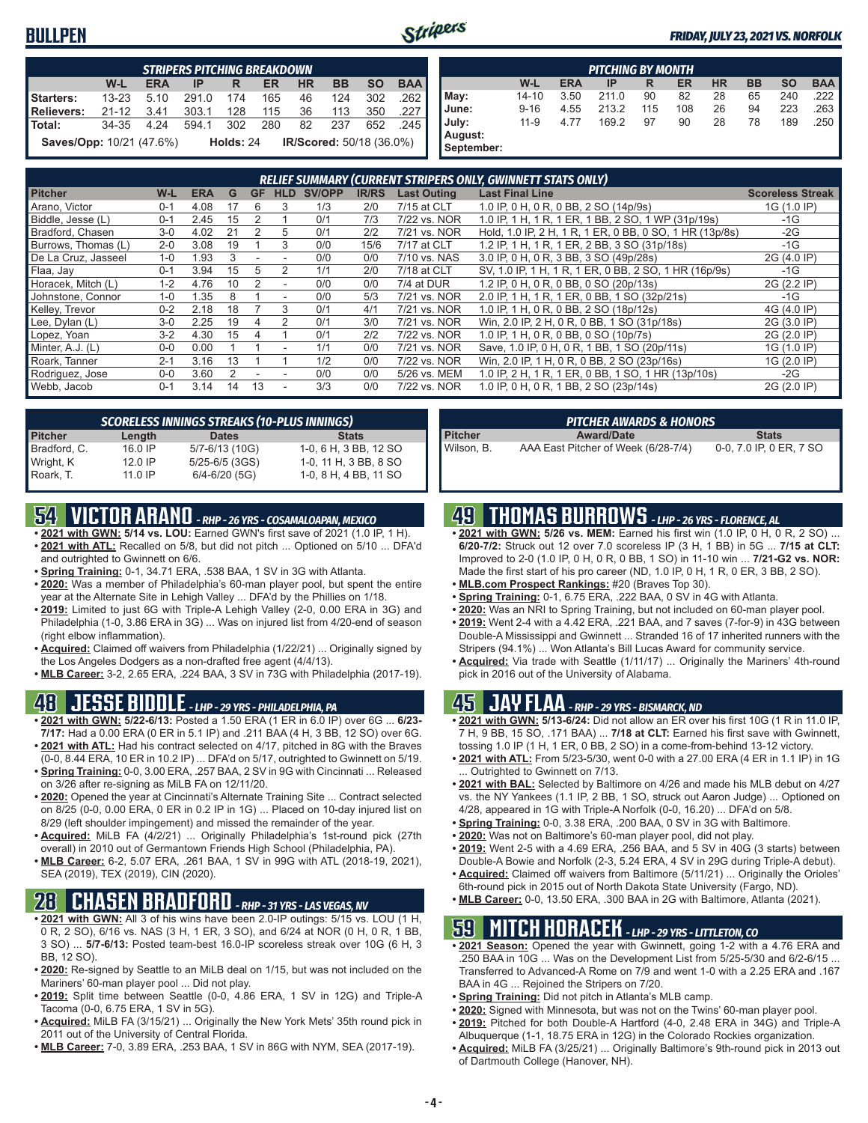### **BULLPEN**



#### *FRIDAY, JULY 23, 2021 VS. NORFOLK*

|                               | <b>STRIPERS PITCHING BREAKDOWN</b> |            |       |             |           |           |                          |           |            |  |  |  |  |  |
|-------------------------------|------------------------------------|------------|-------|-------------|-----------|-----------|--------------------------|-----------|------------|--|--|--|--|--|
|                               | $W-L$                              | <b>ERA</b> | IP    | R           | <b>ER</b> | <b>HR</b> | <b>BB</b>                | <b>SO</b> | <b>BAA</b> |  |  |  |  |  |
| Starters:                     | $13 - 23$                          | 5.10       | 291.0 | 174         | 165       | 46        | 124                      | 302       | .262       |  |  |  |  |  |
| <b>Relievers:</b>             | $21 - 12$                          | -3.41      | 303.1 | 128         | 115       | 36        | 113                      | 350       | .227       |  |  |  |  |  |
| Total:                        | 34-35                              | 4.24       | 594.1 | - 302       | 280       | 82        | 237                      | 652       | - 245      |  |  |  |  |  |
| L<br>Saves/Opp: 10/21 (47.6%) |                                    |            |       | Holds: $24$ |           |           | IR/Scored: 50/18 (36.0%) |           |            |  |  |  |  |  |

| <b>PITCHING BY MONTH</b> |            |       |     |     |           |           |           |            |  |  |
|--------------------------|------------|-------|-----|-----|-----------|-----------|-----------|------------|--|--|
| W-L                      | <b>ERA</b> | IP    | R   | ER  | <b>HR</b> | <b>BB</b> | <b>SO</b> | <b>BAA</b> |  |  |
| $14 - 10$                | 3.50       | 211.0 | 90  | 82  | 28        | 65        | 240       | 222        |  |  |
| $9 - 16$                 | 4.55       | 213.2 | 115 | 108 | 26        | 94        | 223       | 263        |  |  |
| $11-9$                   | 4.77       | 169.2 | 97  | 90  | 28        | 78        | 189       | 250        |  |  |
|                          |            |       |     |     |           |           |           |            |  |  |
|                          |            |       |     |     |           |           |           |            |  |  |

|                     |         |            |    |           |               |               |              |                    | RELIEF SUMMARY (CURRENT STRIPERS ONLY, GWINNETT STATS ONLY) |                         |
|---------------------|---------|------------|----|-----------|---------------|---------------|--------------|--------------------|-------------------------------------------------------------|-------------------------|
| <b>Pitcher</b>      | W-L     | <b>ERA</b> | G  | <b>GF</b> | <b>HLD</b>    | <b>SV/OPP</b> | <b>IR/RS</b> | <b>Last Outing</b> | <b>Last Final Line</b>                                      | <b>Scoreless Streak</b> |
| Arano, Victor       | $0 - 1$ | 4.08       | 17 | h         | 3             | 1/3           | 2/0          | 7/15 at CLT        | 1.0 IP, 0 H, 0 R, 0 BB, 2 SO (14p/9s)                       | 1G (1.0 IP)             |
| Biddle, Jesse (L)   | $0 - 1$ | 2.45       | 15 |           |               | 0/1           | 7/3          | 7/22 vs. NOR       | 1.0 IP, 1 H, 1 R, 1 ER, 1 BB, 2 SO, 1 WP (31p/19s)          | $-1G$                   |
| Bradford, Chasen    | $3 - 0$ | 4.02       | 21 |           | 5             | 0/1           | 2/2          | 7/21 vs. NOR       | Hold, 1.0 IP, 2 H, 1 R, 1 ER, 0 BB, 0 SO, 1 HR (13p/8s)     | $-2G$                   |
| Burrows, Thomas (L) | $2 - 0$ | 3.08       | 19 |           | 3             | 0/0           | 15/6         | 7/17 at CLT        | 1.2 IP, 1 H, 1 R, 1 ER, 2 BB, 3 SO (31p/18s)                | $-1G$                   |
| De La Cruz, Jasseel | $1 - 0$ | 1.93       | 3  |           |               | 0/0           | 0/0          | 7/10 vs. NAS       | 3.0 IP, 0 H, 0 R, 3 BB, 3 SO (49p/28s)                      | 2G (4.0 IP)             |
| Flaa, Jay           | $0 - 1$ | 3.94       | 15 | 5         | $\mathcal{P}$ | 1/1           | 2/0          | 7/18 at CLT        | SV, 1.0 IP, 1 H, 1 R, 1 ER, 0 BB, 2 SO, 1 HR (16p/9s)       | $-1G$                   |
| Horacek, Mitch (L)  | $1 - 2$ | 4.76       | 10 |           |               | 0/0           | 0/0          | 7/4 at DUR         | 1.2 IP, 0 H, 0 R, 0 BB, 0 SO (20p/13s)                      | 2G (2.2 IP)             |
| Johnstone, Connor   | $1 - 0$ | .35        |    |           |               | 0/0           | 5/3          | 7/21 vs. NOR       | 2.0 IP, 1 H, 1 R, 1 ER, 0 BB, 1 SO (32p/21s)                | $-1G$                   |
| Kelley, Trevor      | $0 - 2$ | 2.18       | 18 |           | 3             | 0/1           | 4/1          | 7/21 vs. NOR       | 1.0 IP, 1 H, 0 R, 0 BB, 2 SO (18p/12s)                      | 4G (4.0 IP)             |
| Lee, Dylan (L)      | $3-0$   | 2.25       | 19 |           |               | 0/1           | 3/0          | 7/21 vs. NOR       | Win, 2.0 IP, 2 H, 0 R, 0 BB, 1 SO (31p/18s)                 | 2G (3.0 IP)             |
| Lopez, Yoan         | $3-2$   | 4.30       | 15 |           |               | 0/1           | 2/2          | 7/22 vs. NOR       | 1.0 IP, 1 H, 0 R, 0 BB, 0 SO (10p/7s)                       | 2G (2.0 IP)             |
| Minter, A.J. (L)    | $0 - 0$ | 0.00       |    |           |               | 1/1           | 0/0          | 7/21 vs. NOR       | Save, 1.0 IP, 0 H, 0 R, 1 BB, 1 SO (20p/11s)                | 1G (1.0 IP)             |
| Roark, Tanner       | $2 - 1$ | 3.16       | 13 |           |               | 1/2           | 0/0          | 7/22 vs. NOR       | Win, 2.0 IP, 1 H, 0 R, 0 BB, 2 SO (23p/16s)                 | 1G (2.0 IP)             |
| Rodriguez, Jose     | $0 - 0$ | 3.60       |    |           |               | 0/0           | 0/0          | 5/26 vs. MEM       | 1.0 IP, 2 H, 1 R, 1 ER, 0 BB, 1 SO, 1 HR (13p/10s)          | $-2G$                   |
| Webb, Jacob         | $0 - 1$ | 3.14       | 14 | 13        |               | 3/3           | 0/0          | 7/22 vs. NOR       | 1.0 IP, 0 H, 0 R, 1 BB, 2 SO (23p/14s)                      | 2G (2.0 IP)             |

| <b>SCORELESS INNINGS STREAKS (10-PLUS INNINGS)</b> |           |                    |                       |  |  |  |  |  |  |  |
|----------------------------------------------------|-----------|--------------------|-----------------------|--|--|--|--|--|--|--|
| <b>Pitcher</b>                                     | Length    | <b>Dates</b>       | <b>Stats</b>          |  |  |  |  |  |  |  |
| Bradford, C.                                       | 16.0 IP   | 5/7-6/13 (10G)     | 1-0, 6 H, 3 BB, 12 SO |  |  |  |  |  |  |  |
| Wright, K                                          | $12.0$ IP | $5/25 - 6/5$ (3GS) | 1-0, 11 H, 3 BB, 8 SO |  |  |  |  |  |  |  |
| Roark, T.                                          | $11.0$ IP | $6/4 - 6/20$ (5G)  | 1-0, 8 H, 4 BB, 11 SO |  |  |  |  |  |  |  |

## **54 VICTOR ARANO** *- RHP - 26 YRS - COSAMALOAPAN, MEXICO*

- **• 2021 with GWN: 5/14 vs. LOU:** Earned GWN's first save of 2021 (1.0 IP, 1 H). **• 2021 with ATL:** Recalled on 5/8, but did not pitch ... Optioned on 5/10 ... DFA'd and outrighted to Gwinnett on 6/6.
- **• Spring Training:** 0-1, 34.71 ERA, .538 BAA, 1 SV in 3G with Atlanta.
- **• 2020:** Was a member of Philadelphia's 60-man player pool, but spent the entire year at the Alternate Site in Lehigh Valley ... DFA'd by the Phillies on 1/18.
- **• 2019:** Limited to just 6G with Triple-A Lehigh Valley (2-0, 0.00 ERA in 3G) and Philadelphia (1-0, 3.86 ERA in 3G) ... Was on injured list from 4/20-end of season (right elbow inflammation).
- **• Acquired:** Claimed off waivers from Philadelphia (1/22/21) ... Originally signed by the Los Angeles Dodgers as a non-drafted free agent (4/4/13).
- **• MLB Career:** 3-2, 2.65 ERA, .224 BAA, 3 SV in 73G with Philadelphia (2017-19).

### **48 JESSE BIDDLE** *- LHP - 29 YRS - PHILADELPHIA, PA*

- **• 2021 with GWN: 5/22-6/13:** Posted a 1.50 ERA (1 ER in 6.0 IP) over 6G ... **6/23- 7/17:** Had a 0.00 ERA (0 ER in 5.1 IP) and .211 BAA (4 H, 3 BB, 12 SO) over 6G. **• 2021 with ATL:** Had his contract selected on 4/17, pitched in 8G with the Braves
- (0-0, 8.44 ERA, 10 ER in 10.2 IP) ... DFA'd on 5/17, outrighted to Gwinnett on 5/19. **• Spring Training:** 0-0, 3.00 ERA, .257 BAA, 2 SV in 9G with Cincinnati ... Released
- on 3/26 after re-signing as MiLB FA on 12/11/20. **• 2020:** Opened the year at Cincinnati's Alternate Training Site ... Contract selected on 8/25 (0-0, 0.00 ERA, 0 ER in 0.2 IP in 1G) ... Placed on 10-day injured list on
- 8/29 (left shoulder impingement) and missed the remainder of the year. **• Acquired:** MiLB FA (4/2/21) ... Originally Philadelphia's 1st-round pick (27th
- overall) in 2010 out of Germantown Friends High School (Philadelphia, PA). **• MLB Career:** 6-2, 5.07 ERA, .261 BAA, 1 SV in 99G with ATL (2018-19, 2021), SEA (2019), TEX (2019), CIN (2020).

## **28 CHASEN BRADFORD** *- RHP - 31 YRS - LAS VEGAS, NV*

- **• 2021 with GWN:** All 3 of his wins have been 2.0-IP outings: 5/15 vs. LOU (1 H, 0 R, 2 SO), 6/16 vs. NAS (3 H, 1 ER, 3 SO), and 6/24 at NOR (0 H, 0 R, 1 BB, 3 SO) ... **5/7-6/13:** Posted team-best 16.0-IP scoreless streak over 10G (6 H, 3 BB, 12 SO).
- **• 2020:** Re-signed by Seattle to an MiLB deal on 1/15, but was not included on the Mariners' 60-man player pool ... Did not play.
- **• 2019:** Split time between Seattle (0-0, 4.86 ERA, 1 SV in 12G) and Triple-A Tacoma (0-0, 6.75 ERA, 1 SV in 5G).
- **• Acquired:** MiLB FA (3/15/21) ... Originally the New York Mets' 35th round pick in 2011 out of the University of Central Florida.
- **• MLB Career:** 7-0, 3.89 ERA, .253 BAA, 1 SV in 86G with NYM, SEA (2017-19).

| <b>PITCHER AWARDS &amp; HONORS</b> |                                     |                         |  |  |  |  |  |  |  |
|------------------------------------|-------------------------------------|-------------------------|--|--|--|--|--|--|--|
| Pitcher                            | <b>Award/Date</b>                   | <b>Stats</b>            |  |  |  |  |  |  |  |
| l Wilson. B.                       | AAA East Pitcher of Week (6/28-7/4) | 0-0, 7.0 IP, 0 ER, 7 SO |  |  |  |  |  |  |  |

### **49 THOMAS BURROWS** *- LHP - 26 YRS - FLORENCE, AL*

- **• 2021 with GWN: 5/26 vs. MEM:** Earned his first win (1.0 IP, 0 H, 0 R, 2 SO) ... **6/20-7/2:** Struck out 12 over 7.0 scoreless IP (3 H, 1 BB) in 5G ... **7/15 at CLT:** Improved to 2-0 (1.0 IP, 0 H, 0 R, 0 BB, 1 SO) in 11-10 win ... **7/21-G2 vs. NOR:** Made the first start of his pro career (ND, 1.0 IP, 0 H, 1 R, 0 ER, 3 BB, 2 SO).
- **• MLB.com Prospect Rankings:** #20 (Braves Top 30).
- **• Spring Training:** 0-1, 6.75 ERA, .222 BAA, 0 SV in 4G with Atlanta.
- **• 2020:** Was an NRI to Spring Training, but not included on 60-man player pool.
- **• 2019:** Went 2-4 with a 4.42 ERA, .221 BAA, and 7 saves (7-for-9) in 43G between Double-A Mississippi and Gwinnett ... Stranded 16 of 17 inherited runners with the Stripers (94.1%) ... Won Atlanta's Bill Lucas Award for community service.
- **• Acquired:** Via trade with Seattle (1/11/17) ... Originally the Mariners' 4th-round pick in 2016 out of the University of Alabama.

### **45 JAY FLAA** *- RHP - 29 YRS - BISMARCK, ND*

- **• 2021 with GWN: 5/13-6/24:** Did not allow an ER over his first 10G (1 R in 11.0 IP, 7 H, 9 BB, 15 SO, .171 BAA) ... **7/18 at CLT:** Earned his first save with Gwinnett, tossing 1.0 IP (1 H, 1 ER, 0 BB, 2 SO) in a come-from-behind 13-12 victory.
- **• 2021 with ATL:** From 5/23-5/30, went 0-0 with a 27.00 ERA (4 ER in 1.1 IP) in 1G Outrighted to Gwinnett on 7/13.
- **• 2021 with BAL:** Selected by Baltimore on 4/26 and made his MLB debut on 4/27 vs. the NY Yankees (1.1 IP, 2 BB, 1 SO, struck out Aaron Judge) ... Optioned on 4/28, appeared in 1G with Triple-A Norfolk (0-0, 16.20) ... DFA'd on 5/8.
- **• Spring Training:** 0-0, 3.38 ERA, .200 BAA, 0 SV in 3G with Baltimore.
- **• 2020:** Was not on Baltimore's 60-man player pool, did not play.
- **• 2019:** Went 2-5 with a 4.69 ERA, .256 BAA, and 5 SV in 40G (3 starts) between Double-A Bowie and Norfolk (2-3, 5.24 ERA, 4 SV in 29G during Triple-A debut).
- **• Acquired:** Claimed off waivers from Baltimore (5/11/21) ... Originally the Orioles' 6th-round pick in 2015 out of North Dakota State University (Fargo, ND).
- **• MLB Career:** 0-0, 13.50 ERA, .300 BAA in 2G with Baltimore, Atlanta (2021).

### **59 MITCH HORACEK** *- LHP - 29 YRS - LITTLETON, CO*

- **• 2021 Season:** Opened the year with Gwinnett, going 1-2 with a 4.76 ERA and .250 BAA in 10G ... Was on the Development List from 5/25-5/30 and 6/2-6/15 ... Transferred to Advanced-A Rome on 7/9 and went 1-0 with a 2.25 ERA and .167 BAA in 4G ... Rejoined the Stripers on 7/20.
- **• Spring Training:** Did not pitch in Atlanta's MLB camp.
- **• 2020:** Signed with Minnesota, but was not on the Twins' 60-man player pool.
- **• 2019:** Pitched for both Double-A Hartford (4-0, 2.48 ERA in 34G) and Triple-A
- Albuquerque (1-1, 18.75 ERA in 12G) in the Colorado Rockies organization. **• Acquired:** MiLB FA (3/25/21) ... Originally Baltimore's 9th-round pick in 2013 out of Dartmouth College (Hanover, NH).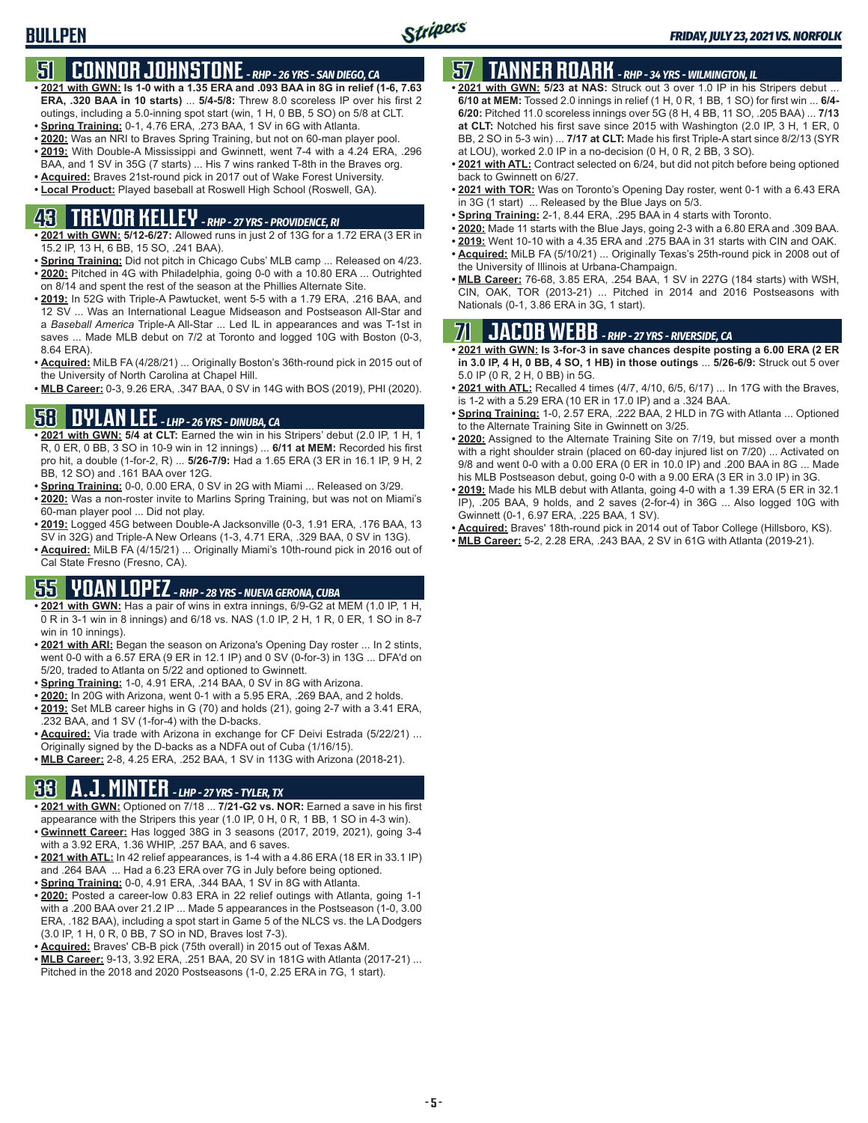## **51 CONNOR JOHNSTONE** *- RHP - 26 YRS - SAN DIEGO, CA*

- **• 2021 with GWN: Is 1-0 with a 1.35 ERA and .093 BAA in 8G in relief (1-6, 7.63 ERA, .320 BAA in 10 starts)** ... **5/4-5/8:** Threw 8.0 scoreless IP over his first 2 outings, including a 5.0-inning spot start (win, 1 H, 0 BB, 5 SO) on 5/8 at CLT.
- **• Spring Training:** 0-1, 4.76 ERA, .273 BAA, 1 SV in 6G with Atlanta.
- **• 2020:** Was an NRI to Braves Spring Training, but not on 60-man player pool. **• 2019:** With Double-A Mississippi and Gwinnett, went 7-4 with a 4.24 ERA, .296
- BAA, and 1 SV in 35G (7 starts) ... His 7 wins ranked T-8th in the Braves org.
- **• Acquired:** Braves 21st-round pick in 2017 out of Wake Forest University. **• Local Product:** Played baseball at Roswell High School (Roswell, GA).

## **43 TREVOR KELLEY** *- RHP - 27 YRS - PROVIDENCE, RI*

- **• 2021 with GWN: 5/12-6/27:** Allowed runs in just 2 of 13G for a 1.72 ERA (3 ER in 15.2 IP, 13 H, 6 BB, 15 SO, .241 BAA).
- **• Spring Training:** Did not pitch in Chicago Cubs' MLB camp ... Released on 4/23. **• 2020:** Pitched in 4G with Philadelphia, going 0-0 with a 10.80 ERA ... Outrighted on 8/14 and spent the rest of the season at the Phillies Alternate Site.
- **• 2019:** In 52G with Triple-A Pawtucket, went 5-5 with a 1.79 ERA, .216 BAA, and 12 SV ... Was an International League Midseason and Postseason All-Star and a *Baseball America* Triple-A All-Star ... Led IL in appearances and was T-1st in saves ... Made MLB debut on 7/2 at Toronto and logged 10G with Boston (0-3, 8.64 ERA).
- **• Acquired:** MiLB FA (4/28/21) ... Originally Boston's 36th-round pick in 2015 out of the University of North Carolina at Chapel Hill.
- **• MLB Career:** 0-3, 9.26 ERA, .347 BAA, 0 SV in 14G with BOS (2019), PHI (2020).

### **58 DYLAN LEE** *- LHP - 26 YRS - DINUBA, CA*

- **• 2021 with GWN: 5/4 at CLT:** Earned the win in his Stripers' debut (2.0 IP, 1 H, 1 R, 0 ER, 0 BB, 3 SO in 10-9 win in 12 innings) ... **6/11 at MEM:** Recorded his first pro hit, a double (1-for-2, R) ... **5/26-7/9:** Had a 1.65 ERA (3 ER in 16.1 IP, 9 H, 2 BB, 12 SO) and .161 BAA over 12G.
- **• Spring Training:** 0-0, 0.00 ERA, 0 SV in 2G with Miami ... Released on 3/29.
- **• 2020:** Was a non-roster invite to Marlins Spring Training, but was not on Miami's 60-man player pool ... Did not play.
- **• 2019:** Logged 45G between Double-A Jacksonville (0-3, 1.91 ERA, .176 BAA, 13 SV in 32G) and Triple-A New Orleans (1-3, 4.71 ERA, .329 BAA, 0 SV in 13G).
- **• Acquired:** MiLB FA (4/15/21) ... Originally Miami's 10th-round pick in 2016 out of Cal State Fresno (Fresno, CA).

## **55 YOAN LOPEZ** *- RHP - 28 YRS - NUEVA GERONA, CUBA*

- **• 2021 with GWN:** Has a pair of wins in extra innings, 6/9-G2 at MEM (1.0 IP, 1 H, 0 R in 3-1 win in 8 innings) and 6/18 vs. NAS (1.0 IP, 2 H, 1 R, 0 ER, 1 SO in 8-7 win in 10 innings).
- **• 2021 with ARI:** Began the season on Arizona's Opening Day roster ... In 2 stints, went 0-0 with a 6.57 ERA (9 ER in 12.1 IP) and 0 SV (0-for-3) in 13G ... DFA'd on 5/20, traded to Atlanta on 5/22 and optioned to Gwinnett.
- **• Spring Training:** 1-0, 4.91 ERA, .214 BAA, 0 SV in 8G with Arizona.
- **• 2020:** In 20G with Arizona, went 0-1 with a 5.95 ERA, .269 BAA, and 2 holds.
- **• 2019:** Set MLB career highs in G (70) and holds (21), going 2-7 with a 3.41 ERA, .232 BAA, and 1 SV (1-for-4) with the D-backs.
- **• Acquired:** Via trade with Arizona in exchange for CF Deivi Estrada (5/22/21) ... Originally signed by the D-backs as a NDFA out of Cuba (1/16/15).
- **• MLB Career:** 2-8, 4.25 ERA, .252 BAA, 1 SV in 113G with Arizona (2018-21).

## **33 A.J. MINTER** *- LHP - 27 YRS - TYLER, TX*

- **• 2021 with GWN:** Optioned on 7/18 ... **7/21-G2 vs. NOR:** Earned a save in his first appearance with the Stripers this year (1.0 IP, 0 H, 0 R, 1 BB, 1 SO in 4-3 win).
- **• Gwinnett Career:** Has logged 38G in 3 seasons (2017, 2019, 2021), going 3-4 with a 3.92 ERA, 1.36 WHIP, .257 BAA, and 6 saves.
- **• 2021 with ATL:** In 42 relief appearances, is 1-4 with a 4.86 ERA (18 ER in 33.1 IP) and .264 BAA ... Had a 6.23 ERA over 7G in July before being optioned.
- **• Spring Training:** 0-0, 4.91 ERA, .344 BAA, 1 SV in 8G with Atlanta.
- **• 2020:** Posted a career-low 0.83 ERA in 22 relief outings with Atlanta, going 1-1 with a .200 BAA over 21.2 IP ... Made 5 appearances in the Postseason (1-0, 3.00 ERA, .182 BAA), including a spot start in Game 5 of the NLCS vs. the LA Dodgers (3.0 IP, 1 H, 0 R, 0 BB, 7 SO in ND, Braves lost 7-3).
- **• Acquired:** Braves' CB-B pick (75th overall) in 2015 out of Texas A&M.
- **• MLB Career:** 9-13, 3.92 ERA, .251 BAA, 20 SV in 181G with Atlanta (2017-21) ... Pitched in the 2018 and 2020 Postseasons (1-0, 2.25 ERA in 7G, 1 start).

## **57 TANNER ROARK** *- RHP - 34 YRS - WILMINGTON, IL*

- **• 2021 with GWN: 5/23 at NAS:** Struck out 3 over 1.0 IP in his Stripers debut ... **6/10 at MEM:** Tossed 2.0 innings in relief (1 H, 0 R, 1 BB, 1 SO) for first win ... **6/4- 6/20:** Pitched 11.0 scoreless innings over 5G (8 H, 4 BB, 11 SO, .205 BAA) ... **7/13 at CLT:** Notched his first save since 2015 with Washington (2.0 IP, 3 H, 1 ER, 0 BB, 2 SO in 5-3 win) ... **7/17 at CLT:** Made his first Triple-A start since 8/2/13 (SYR at LOU), worked 2.0 IP in a no-decision (0 H, 0 R, 2 BB, 3 SO).
- **• 2021 with ATL:** Contract selected on 6/24, but did not pitch before being optioned back to Gwinnett on 6/27.
- **• 2021 with TOR:** Was on Toronto's Opening Day roster, went 0-1 with a 6.43 ERA in 3G (1 start) ... Released by the Blue Jays on 5/3.
- **• Spring Training:** 2-1, 8.44 ERA, .295 BAA in 4 starts with Toronto.
- **• 2020:** Made 11 starts with the Blue Jays, going 2-3 with a 6.80 ERA and .309 BAA.
- **• 2019:** Went 10-10 with a 4.35 ERA and .275 BAA in 31 starts with CIN and OAK.
- **• Acquired:** MiLB FA (5/10/21) ... Originally Texas's 25th-round pick in 2008 out of the University of Illinois at Urbana-Champaign.
- **• MLB Career:** 76-68, 3.85 ERA, .254 BAA, 1 SV in 227G (184 starts) with WSH, CIN, OAK, TOR (2013-21) ... Pitched in 2014 and 2016 Postseasons with Nationals (0-1, 3.86 ERA in 3G, 1 start).

## **71 JACOB WEBB** *- RHP - 27 YRS - RIVERSIDE, CA*

**• 2021 with GWN: Is 3-for-3 in save chances despite posting a 6.00 ERA (2 ER in 3.0 IP, 4 H, 0 BB, 4 SO, 1 HB) in those outings** ... **5/26-6/9:** Struck out 5 over 5.0 IP (0 R, 2 H, 0 BB) in 5G.

- **• 2021 with ATL:** Recalled 4 times (4/7, 4/10, 6/5, 6/17) ... In 17G with the Braves, is 1-2 with a 5.29 ERA (10 ER in 17.0 IP) and a .324 BAA.
- **• Spring Training:** 1-0, 2.57 ERA, .222 BAA, 2 HLD in 7G with Atlanta ... Optioned to the Alternate Training Site in Gwinnett on 3/25.
- **• 2020:** Assigned to the Alternate Training Site on 7/19, but missed over a month with a right shoulder strain (placed on 60-day injured list on 7/20) ... Activated on 9/8 and went 0-0 with a 0.00 ERA (0 ER in 10.0 IP) and .200 BAA in 8G ... Made his MLB Postseason debut, going 0-0 with a 9.00 ERA (3 ER in 3.0 IP) in 3G.
- **• 2019:** Made his MLB debut with Atlanta, going 4-0 with a 1.39 ERA (5 ER in 32.1 IP), .205 BAA, 9 holds, and 2 saves (2-for-4) in 36G ... Also logged 10G with Gwinnett (0-1, 6.97 ERA, .225 BAA, 1 SV).
- **• Acquired:** Braves' 18th-round pick in 2014 out of Tabor College (Hillsboro, KS).
- **• MLB Career:** 5-2, 2.28 ERA, .243 BAA, 2 SV in 61G with Atlanta (2019-21).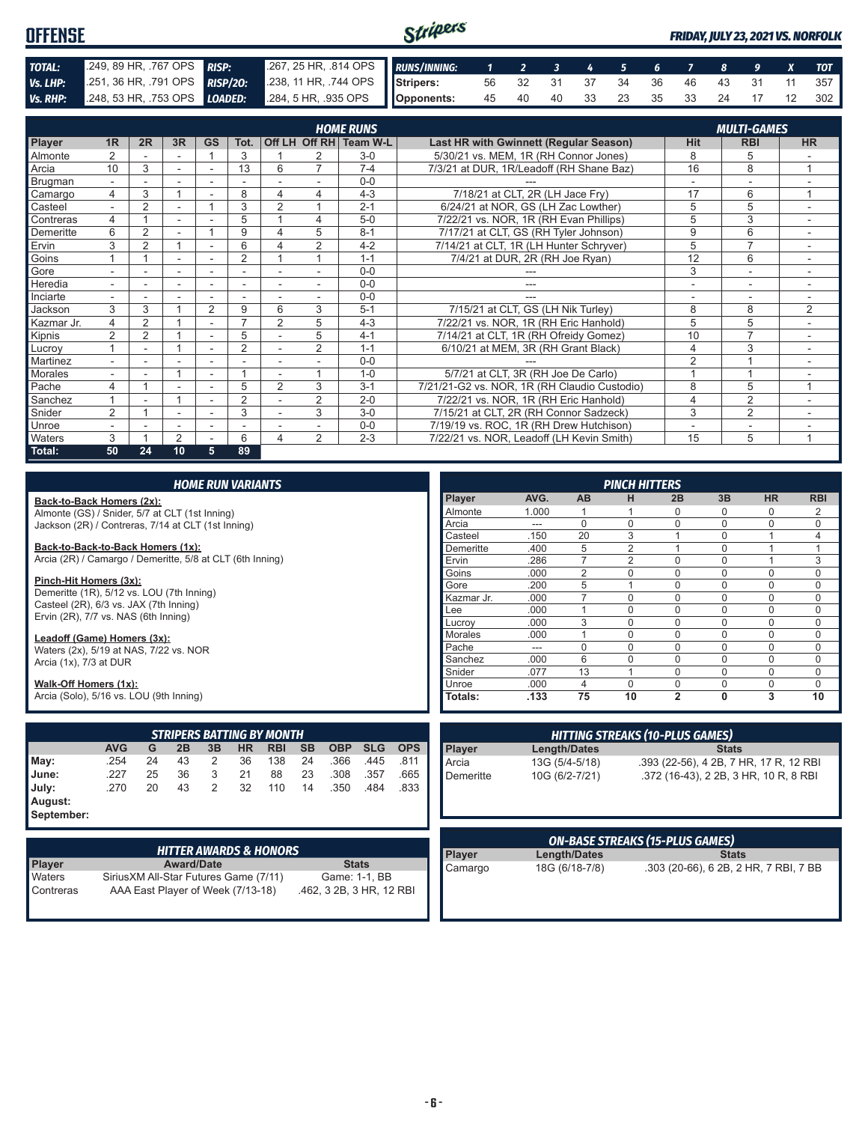#### Stripers **OFFENSE** *FRIDAY, JULY 23, 2021 VS. NORFOLK TOTAL:* .249, 89 HR, .767 OPS *RISP:* .267, 25 HR, .814 OPS *RUNS/INNING: 1 2 3 4 5 6 7 8 9 X TOT Vs. LHP:* .251, 36 HR, .791 OPS *RISP/2O:* .238, 11 HR, .744 OPS **Stripers:** 56 32 31 37 34 36 46 43 31 11 357 *Vs. RHP:* .248, 53 HR, .753 OPS *LOADED:* **Opponents:** 45 40 40 33 23 35 33 24 17 12 302

|               |                |                |    |                |                          |                |                | <b>HOME RUNS</b> |                                               |                | <b>MULTI-GAMES</b>       |                          |
|---------------|----------------|----------------|----|----------------|--------------------------|----------------|----------------|------------------|-----------------------------------------------|----------------|--------------------------|--------------------------|
| <b>Player</b> | 1R             | 2R             | 3R | GS             | Tot.                     |                | Off LH Off RH  | Team W-L         | <b>Last HR with Gwinnett (Regular Season)</b> | <b>Hit</b>     | <b>RBI</b>               | <b>HR</b>                |
| Almonte       | $\overline{2}$ |                |    |                | 3                        |                | 2              | $3-0$            | 5/30/21 vs. MEM, 1R (RH Connor Jones)         | 8              | 5                        |                          |
| Arcia         | 10             | 3              |    |                | 13                       | 6              | $\overline{ }$ | $7 - 4$          | 7/3/21 at DUR, 1R/Leadoff (RH Shane Baz)      | 16             | 8                        |                          |
| Brugman       | $\sim$         |                |    | ۰              |                          |                |                | $0 - 0$          |                                               |                | ۰                        |                          |
| Camargo       | 4              | 3              |    |                | 8                        | 4              | 4              | $4 - 3$          | 7/18/21 at CLT, 2R (LH Jace Fry)              | 17             | 6                        | $\overline{ }$           |
| Casteel       |                | 2              | ٠  |                | 3                        | $\overline{2}$ |                | $2 - 1$          | 6/24/21 at NOR, GS (LH Zac Lowther)           | 5              | 5                        |                          |
| Contreras     | 4              |                | ٠  |                | 5                        |                | 4              | $5-0$            | 7/22/21 vs. NOR, 1R (RH Evan Phillips)        | 5              | 3                        | $\overline{\phantom{a}}$ |
| Demeritte     | 6              | 2              | ٠  |                | 9                        | 4              | 5              | $8 - 1$          | 7/17/21 at CLT, GS (RH Tyler Johnson)         | 9              | 6                        | ۰                        |
| Ervin         | 3              | $\overline{2}$ |    |                | 6                        |                | $\overline{2}$ | $4 - 2$          | 7/14/21 at CLT, 1R (LH Hunter Schryver)       | 5              | $\overline{ }$           |                          |
| Goins         |                |                | ٠  | ٠              | 2                        |                |                | $1 - 1$          | 7/4/21 at DUR, 2R (RH Joe Ryan)               | 12             | 6                        |                          |
| Gore          |                |                | ٠  |                |                          |                |                | $0 - 0$          |                                               | 3              | $\sim$                   |                          |
| Heredia       | $\sim$         |                | ٠  | ۰              | $\overline{\phantom{a}}$ | ٠              |                | $0 - 0$          | ---                                           | ٠              | $\overline{\phantom{a}}$ | ٠                        |
| Inciarte      |                |                |    | ۰              |                          |                |                | $0 - 0$          |                                               |                | $\overline{\phantom{a}}$ |                          |
| Jackson       | 3              | 3              |    | $\overline{2}$ | 9                        | 6              | 3              | $5 - 1$          | 7/15/21 at CLT, GS (LH Nik Turley)            | 8              | 8                        | 2                        |
| Kazmar Jr.    | 4              | 2              |    | ۰              |                          | $\overline{2}$ | 5              | $4 - 3$          | 7/22/21 vs. NOR, 1R (RH Eric Hanhold)         | 5              | 5                        |                          |
| Kipnis        | $\overline{2}$ | $\overline{2}$ |    |                | 5                        |                | 5              | $4 - 1$          | 7/14/21 at CLT, 1R (RH Ofreidy Gomez)         | 10             | $\overline{7}$           | ٠                        |
| Lucroy        |                |                |    |                | $\overline{2}$           |                | $\overline{2}$ | $1 - 1$          | 6/10/21 at MEM, 3R (RH Grant Black)           | 4              | 3                        |                          |
| Martinez      |                |                |    |                |                          |                |                | $0 - 0$          |                                               | $\overline{2}$ |                          |                          |
| Morales       |                |                |    | ٠              |                          |                |                | $1 - 0$          | 5/7/21 at CLT, 3R (RH Joe De Carlo)           |                |                          |                          |
| Pache         | 4              |                |    | $\overline{a}$ | 5                        | $\overline{2}$ | 3              | $3 - 1$          | 7/21/21-G2 vs. NOR, 1R (RH Claudio Custodio)  | 8              | 5                        | 1                        |
| Sanchez       |                |                |    | ۰              | $\overline{2}$           |                | 2              | $2 - 0$          | 7/22/21 vs. NOR, 1R (RH Eric Hanhold)         | 4              | $\overline{2}$           | ۰                        |
| Snider        | $\overline{2}$ |                |    |                | 3                        |                | 3              | $3-0$            | 7/15/21 at CLT, 2R (RH Connor Sadzeck)        | 3              | $\overline{2}$           |                          |
| Unroe         |                |                | ۰  | ۰              | ٠                        |                |                | $0 - 0$          | 7/19/19 vs. ROC, 1R (RH Drew Hutchison)       | $\blacksquare$ | ٠                        |                          |
| Waters        | 3              |                | 2  |                | 6                        | 4              | $\overline{2}$ | $2 - 3$          | 7/22/21 vs. NOR, Leadoff (LH Kevin Smith)     | 15             | 5                        | 1                        |
| Total:        | 50             | 24             | 10 | 5              | 89                       |                |                |                  |                                               |                |                          |                          |

|                                                                     | <b>HOME RUN VARIANTS</b>                       |    |                   |                |           |                                   |           |              |            |            |               |       |                     | <b>PINCH HITTERS</b> |                                        |              |                |                |
|---------------------------------------------------------------------|------------------------------------------------|----|-------------------|----------------|-----------|-----------------------------------|-----------|--------------|------------|------------|---------------|-------|---------------------|----------------------|----------------------------------------|--------------|----------------|----------------|
| Back-to-Back Homers (2x):                                           |                                                |    |                   |                |           |                                   |           |              |            |            | Player        | AVG.  | <b>AB</b>           | н                    | 2B                                     | 3B           | <b>HR</b>      | <b>RBI</b>     |
|                                                                     | Almonte (GS) / Snider, 5/7 at CLT (1st Inning) |    |                   |                |           |                                   |           |              |            |            | Almonte       | 1.000 |                     |                      | $\Omega$                               | $\Omega$     | $\mathbf 0$    | $\overline{2}$ |
| Jackson (2R) / Contreras, 7/14 at CLT (1st Inning)                  |                                                |    |                   |                |           |                                   |           |              |            |            | Arcia         | ---   | $\overline{0}$      | $\Omega$             | $\Omega$                               | $\mathbf{0}$ | $\mathbf 0$    | 0              |
|                                                                     |                                                |    |                   |                |           |                                   |           |              |            |            | Casteel       | .150  | 20                  | 3                    |                                        | 0            |                | 4              |
|                                                                     | Back-to-Back-to-Back Homers (1x):              |    |                   |                |           |                                   |           |              |            |            |               | .400  | 5                   | $\overline{2}$       |                                        | $\Omega$     | 1              | 1              |
| Arcia (2R) / Camargo / Demeritte, 5/8 at CLT (6th Inning)           |                                                |    |                   |                |           |                                   |           |              |            |            | Ervin         | .286  | $\overline{7}$      | 2                    | $\Omega$                               | $\mathbf{0}$ | $\overline{1}$ | 3              |
|                                                                     |                                                |    |                   |                |           |                                   |           |              |            |            | Goins         | .000  | $\overline{2}$      | $\Omega$             | $\Omega$                               | $\Omega$     | $\mathbf 0$    | 0              |
| Pinch-Hit Homers (3x):<br>Demeritte (1R), 5/12 vs. LOU (7th Inning) |                                                |    |                   |                |           |                                   |           |              |            |            | Gore          | .200  | 5                   |                      | $\Omega$                               | $\mathbf{0}$ | $\mathbf 0$    | 0              |
| Casteel (2R), 6/3 vs. JAX (7th Inning)                              |                                                |    |                   |                |           |                                   |           |              |            |            | Kazmar Jr.    | .000  | $\overline{7}$      | $\Omega$             | $\Omega$                               | $\Omega$     | $\mathbf 0$    | $\mathbf 0$    |
| Ervin (2R), 7/7 vs. NAS (6th Inning)                                |                                                |    |                   |                |           |                                   |           |              |            |            | Lee           | .000  |                     | $\Omega$             | $\Omega$                               | $\Omega$     | $\mathbf 0$    | 0              |
|                                                                     |                                                |    |                   |                |           |                                   |           |              |            |            | Lucrov        | .000  | 3                   | $\Omega$             | $\Omega$                               | $\Omega$     | $\mathbf 0$    | $\mathbf 0$    |
| Leadoff (Game) Homers (3x):                                         |                                                |    |                   |                |           |                                   |           |              |            |            | Morales       | .000  |                     | $\Omega$             | $\Omega$                               | $\Omega$     | $\mathbf 0$    | $\mathbf 0$    |
| Waters (2x), 5/19 at NAS, 7/22 vs. NOR                              |                                                |    |                   |                |           |                                   |           |              |            |            | Pache         | ---   | $\Omega$            | $\Omega$             | $\Omega$                               | $\Omega$     | $\mathbf 0$    | 0              |
| Arcia (1x), 7/3 at DUR                                              |                                                |    |                   |                |           |                                   |           |              |            |            | Sanchez       | .000  | 6                   | $\Omega$             | $\Omega$                               | $\Omega$     | $\mathbf 0$    | $\mathbf 0$    |
|                                                                     |                                                |    |                   |                |           |                                   |           |              |            |            | Snider        | .077  | 13                  |                      | $\Omega$                               | $\Omega$     | $\Omega$       | $\mathbf 0$    |
| Walk-Off Homers (1x):                                               |                                                |    |                   |                |           |                                   |           |              |            |            | Unroe         | .000  | 4                   | $\Omega$             | $\mathbf{0}$                           | 0            | $\mathbf 0$    | $\mathbf 0$    |
| Arcia (Solo), 5/16 vs. LOU (9th Inning)                             |                                                |    |                   |                |           |                                   |           |              |            |            | Totals:       | .133  | 75                  | 10                   | $\overline{2}$                         | $\mathbf{0}$ | 3              | 10             |
|                                                                     |                                                |    |                   |                |           | <b>STRIPERS BATTING BY MONTH</b>  |           |              |            |            |               |       |                     |                      | <b>HITTING STREAKS (10-PLUS GAMES)</b> |              |                |                |
|                                                                     | <b>AVG</b>                                     | G  | 2B                | 3B             | <b>HR</b> | <b>RBI</b>                        | <b>SB</b> | <b>OBP</b>   | <b>SLG</b> | <b>OPS</b> | Player        |       | Length/Dates        |                      |                                        | <b>Stats</b> |                |                |
| May:                                                                | .254                                           | 24 | 43                | 2              | 36        | 138                               | 24        | .366         | .445       | .811       | Arcia         |       | 13G (5/4-5/18)      |                      | .393 (22-56), 4 2B, 7 HR, 17 R, 12 RBI |              |                |                |
| June:                                                               | .227                                           | 25 | 36                | 3              | 21        | 88                                | 23        | .308         | .357       | .665       | Demeritte     |       | 10G (6/2-7/21)      |                      | .372 (16-43), 2 2B, 3 HR, 10 R, 8 RBI  |              |                |                |
| July:<br>August:<br>September:                                      | .270                                           | 20 | 43                | $\overline{2}$ | 32        | 110                               | 14        | .350         | .484       | .833       |               |       |                     |                      |                                        |              |                |                |
|                                                                     |                                                |    |                   |                |           |                                   |           |              |            |            |               |       |                     |                      | <b>ON-BASE STREAKS (15-PLUS GAMES)</b> |              |                |                |
|                                                                     |                                                |    |                   |                |           | <b>HITTER AWARDS &amp; HONORS</b> |           |              |            |            | <b>Player</b> |       | <b>Length/Dates</b> |                      |                                        | <b>Stats</b> |                |                |
| <b>Player</b>                                                       |                                                |    | <b>Award/Date</b> |                |           |                                   |           | <b>Stats</b> |            |            | Camargo       |       | 18G (6/18-7/8)      |                      | 303 (20-66) 6 2B 2 HR 7 RRI 7 BB       |              |                |                |

|               | <b>HITTER AWARDS &amp; HONORS</b>      |                          |
|---------------|----------------------------------------|--------------------------|
| <b>Player</b> | <b>Award/Date</b>                      | <b>Stats</b>             |
| Waters        | Sirius XM All-Star Futures Game (7/11) | Game: 1-1, BB            |
| l Contreras   | AAA East Player of Week (7/13-18)      | .462, 3 2B, 3 HR, 12 RBI |

|               |                | <b>ON-BASE STREAKS (15-PLUS GAMES)</b> |
|---------------|----------------|----------------------------------------|
| <b>Player</b> | Length/Dates   | <b>Stats</b>                           |
| Camargo       | 18G (6/18-7/8) | .303 (20-66), 6 2B, 2 HR, 7 RBI, 7 BB  |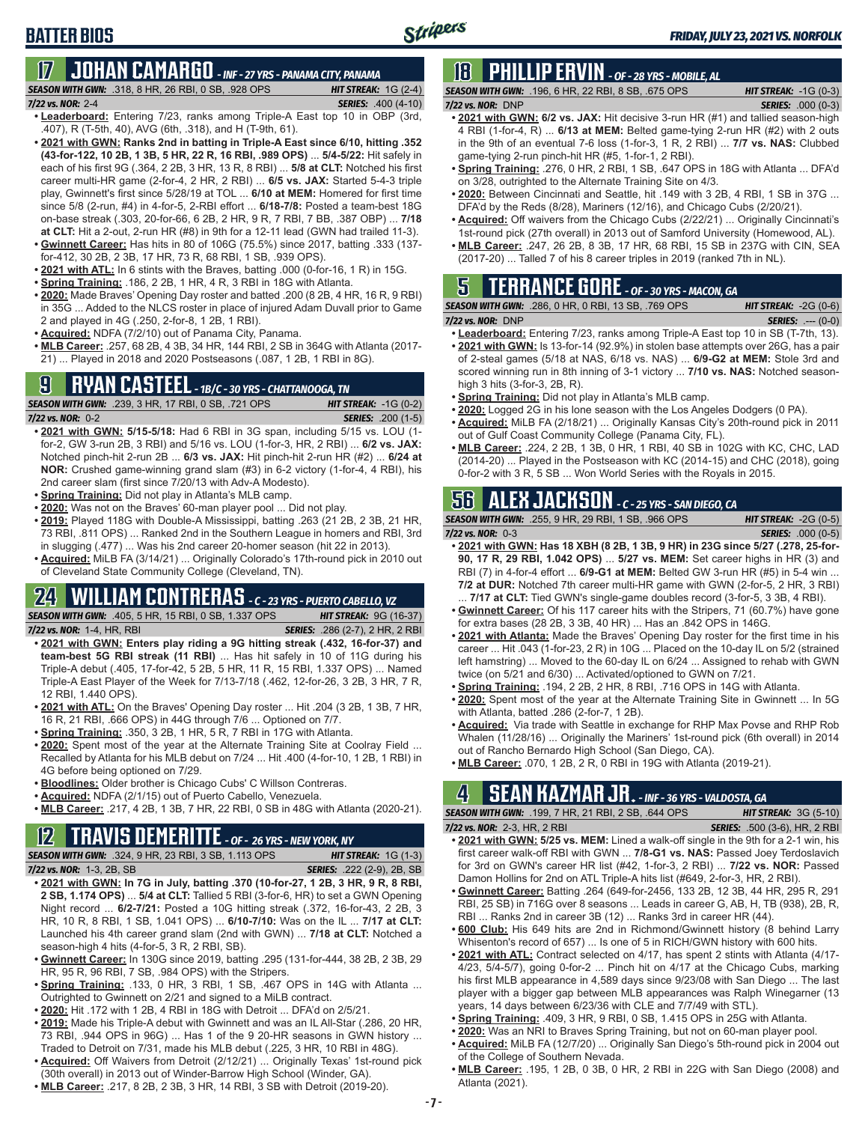## **17 JOHAN CAMARGO** *- INF - 27 YRS - PANAMA CITY, PANAMA*

*SEASON WITH GWN:*.318, 8 HR, 26 RBI, 0 SB, .928 OPS *HIT STREAK:* 1G (2-4) *7/22 vs. NOR:* 2-4 *SERIES:* .400 (4-10)

- **• Leaderboard:** Entering 7/23, ranks among Triple-A East top 10 in OBP (3rd, .407), R (T-5th, 40), AVG (6th, .318), and H (T-9th, 61).
- **• 2021 with GWN: Ranks 2nd in batting in Triple-A East since 6/10, hitting .352 (43-for-122, 10 2B, 1 3B, 5 HR, 22 R, 16 RBI, .989 OPS)** ... **5/4-5/22:** Hit safely in each of his first 9G (.364, 2 2B, 3 HR, 13 R, 8 RBI) ... **5/8 at CLT:** Notched his first career multi-HR game (2-for-4, 2 HR, 2 RBI) ... **6/5 vs. JAX:** Started 5-4-3 triple play, Gwinnett's first since 5/28/19 at TOL ... **6/10 at MEM:** Homered for first time since 5/8 (2-run, #4) in 4-for-5, 2-RBI effort ... **6/18-7/8:** Posted a team-best 18G on-base streak (.303, 20-for-66, 6 2B, 2 HR, 9 R, 7 RBI, 7 BB, .387 OBP) ... **7/18 at CLT:** Hit a 2-out, 2-run HR (#8) in 9th for a 12-11 lead (GWN had trailed 11-3).
- **• Gwinnett Career:** Has hits in 80 of 106G (75.5%) since 2017, batting .333 (137 for-412, 30 2B, 2 3B, 17 HR, 73 R, 68 RBI, 1 SB, .939 OPS).
- **• 2021 with ATL:** In 6 stints with the Braves, batting .000 (0-for-16, 1 R) in 15G.
- **• Spring Training:** .186, 2 2B, 1 HR, 4 R, 3 RBI in 18G with Atlanta.
- **• 2020:** Made Braves' Opening Day roster and batted .200 (8 2B, 4 HR, 16 R, 9 RBI) in 35G ... Added to the NLCS roster in place of injured Adam Duvall prior to Game 2 and played in 4G (.250, 2-for-8, 1 2B, 1 RBI).
- **• Acquired:** NDFA (7/2/10) out of Panama City, Panama.
- **• MLB Career:** .257, 68 2B, 4 3B, 34 HR, 144 RBI, 2 SB in 364G with Atlanta (2017- 21) ... Played in 2018 and 2020 Postseasons (.087, 1 2B, 1 RBI in 8G).

## **9 RYAN CASTEEL** *- 1B/C - 30 YRS - CHATTANOOGA, TN*

*SEASON WITH GWN:*.239, 3 HR, 17 RBI, 0 SB, .721 OPS *HIT STREAK:* -1G (0-2) *7/22 vs. NOR:*0-2 *SERIES:* .200 (1-5)

- **• 2021 with GWN: 5/15-5/18:** Had 6 RBI in 3G span, including 5/15 vs. LOU (1 for-2, GW 3-run 2B, 3 RBI) and 5/16 vs. LOU (1-for-3, HR, 2 RBI) ... **6/2 vs. JAX:** Notched pinch-hit 2-run 2B ... **6/3 vs. JAX:** Hit pinch-hit 2-run HR (#2) ... **6/24 at NOR:** Crushed game-winning grand slam (#3) in 6-2 victory (1-for-4, 4 RBI), his 2nd career slam (first since 7/20/13 with Adv-A Modesto).
- **• Spring Training:** Did not play in Atlanta's MLB camp.
- **• 2020:** Was not on the Braves' 60-man player pool ... Did not play.
- **• 2019:** Played 118G with Double-A Mississippi, batting .263 (21 2B, 2 3B, 21 HR, 73 RBI, .811 OPS) ... Ranked 2nd in the Southern League in homers and RBI, 3rd in slugging (.477) ... Was his 2nd career 20-homer season (hit 22 in 2013).
- **• Acquired:** MiLB FA (3/14/21) ... Originally Colorado's 17th-round pick in 2010 out of Cleveland State Community College (Cleveland, TN).

## **24 WILLIAM CONTRERAS** *- C - 23 YRS - PUERTO CABELLO, VZ*

*SEASON WITH GWN:*.405, 5 HR, 15 RBI, 0 SB, 1.337 OPS *HIT STREAK:* 9G (16-37) *7/22 vs. NOR:* 1-4, HR, RBI *SERIES:* .286 (2-7), 2 HR, 2 RBI

- **• 2021 with GWN: Enters play riding a 9G hitting streak (.432, 16-for-37) and team-best 5G RBI streak (11 RBI)** ... Has hit safely in 10 of 11G during his Triple-A debut (.405, 17-for-42, 5 2B, 5 HR, 11 R, 15 RBI, 1.337 OPS) ... Named Triple-A East Player of the Week for 7/13-7/18 (.462, 12-for-26, 3 2B, 3 HR, 7 R, 12 RBI, 1.440 OPS).
- **• 2021 with ATL:** On the Braves' Opening Day roster ... Hit .204 (3 2B, 1 3B, 7 HR, 16 R, 21 RBI, .666 OPS) in 44G through 7/6 ... Optioned on 7/7.
- **• Spring Training:** .350, 3 2B, 1 HR, 5 R, 7 RBI in 17G with Atlanta.
- **• 2020:** Spent most of the year at the Alternate Training Site at Coolray Field ... Recalled by Atlanta for his MLB debut on 7/24 ... Hit .400 (4-for-10, 1 2B, 1 RBI) in 4G before being optioned on 7/29.
- **• Bloodlines:** Older brother is Chicago Cubs' C Willson Contreras.
- **• Acquired:** NDFA (2/1/15) out of Puerto Cabello, Venezuela.
- **• MLB Career:** .217, 4 2B, 1 3B, 7 HR, 22 RBI, 0 SB in 48G with Atlanta (2020-21).

## **12 TRAVIS DEMERITTE** *- OF - 26 YRS - NEW YORK, NY*

*SEASON WITH GWN:*.324, 9 HR, 23 RBI, 3 SB, 1.113 OPS *HIT STREAK:* 1G (1-3) *7/22 vs. NOR:*1-3, 2B, SB *SERIES:* .222 (2-9), 2B, SB

- **• 2021 with GWN: In 7G in July, batting .370 (10-for-27, 1 2B, 3 HR, 9 R, 8 RBI, 2 SB, 1.174 OPS)** ... **5/4 at CLT:** Tallied 5 RBI (3-for-6, HR) to set a GWN Opening Night record ... **6/2-7/21:** Posted a 10G hitting streak (.372, 16-for-43, 2 2B, 3 HR, 10 R, 8 RBI, 1 SB, 1.041 OPS) ... **6/10-7/10:** Was on the IL ... **7/17 at CLT:** Launched his 4th career grand slam (2nd with GWN) ... **7/18 at CLT:** Notched a season-high 4 hits (4-for-5, 3 R, 2 RBI, SB).
- **• Gwinnett Career:** In 130G since 2019, batting .295 (131-for-444, 38 2B, 2 3B, 29 HR, 95 R, 96 RBI, 7 SB, .984 OPS) with the Stripers.
- **• Spring Training:** .133, 0 HR, 3 RBI, 1 SB, .467 OPS in 14G with Atlanta ... Outrighted to Gwinnett on 2/21 and signed to a MiLB contract.
- **• 2020:** Hit .172 with 1 2B, 4 RBI in 18G with Detroit ... DFA'd on 2/5/21.
- **• 2019:** Made his Triple-A debut with Gwinnett and was an IL All-Star (.286, 20 HR, 73 RBI, .944 OPS in 96G) ... Has 1 of the 9 20-HR seasons in GWN history ... Traded to Detroit on 7/31, made his MLB debut (.225, 3 HR, 10 RBI in 48G).
- **• Acquired:** Off Waivers from Detroit (2/12/21) ... Originally Texas' 1st-round pick (30th overall) in 2013 out of Winder-Barrow High School (Winder, GA).
- **• MLB Career:** .217, 8 2B, 2 3B, 3 HR, 14 RBI, 3 SB with Detroit (2019-20).

## **18 PHILLIP ERVIN** *- OF - 28 YRS - MOBILE, AL*

Stripers

*SEASON WITH GWN:*.196, 6 HR, 22 RBI, 8 SB, .675 OPS *HIT STREAK:* -1G (0-3) *7/22 vs. NOR:*DNP *SERIES:* .000 (0-3)

- **• 2021 with GWN: 6/2 vs. JAX:** Hit decisive 3-run HR (#1) and tallied season-high 4 RBI (1-for-4, R) ... **6/13 at MEM:** Belted game-tying 2-run HR (#2) with 2 outs in the 9th of an eventual 7-6 loss (1-for-3, 1 R, 2 RBI) ... **7/7 vs. NAS:** Clubbed game-tying 2-run pinch-hit HR (#5, 1-for-1, 2 RBI).
- **• Spring Training:** .276, 0 HR, 2 RBI, 1 SB, .647 OPS in 18G with Atlanta ... DFA'd on 3/28, outrighted to the Alternate Training Site on 4/3.
- **• 2020:** Between Cincinnati and Seattle, hit .149 with 3 2B, 4 RBI, 1 SB in 37G ... DFA'd by the Reds (8/28), Mariners (12/16), and Chicago Cubs (2/20/21).
- **• Acquired:** Off waivers from the Chicago Cubs (2/22/21) ... Originally Cincinnati's 1st-round pick (27th overall) in 2013 out of Samford University (Homewood, AL).
- **• MLB Career:** .247, 26 2B, 8 3B, 17 HR, 68 RBI, 15 SB in 237G with CIN, SEA (2017-20) ... Talled 7 of his 8 career triples in 2019 (ranked 7th in NL).

## **5 TERRANCE GORE** *- OF - 30 YRS - MACON, GA*

|                     | <b>SEASON WITH GWN: .286, 0 HR, 0 RBI, 13 SB, .769 OPS</b> | <b>HIT STREAK:</b> $-2G(0-6)$ |
|---------------------|------------------------------------------------------------|-------------------------------|
| $7/22$ vs. NOR: DNP |                                                            | <b>SERIES:</b> $--- (0-0)$    |

- **• Leaderboard:** Entering 7/23, ranks among Triple-A East top 10 in SB (T-7th, 13). **• 2021 with GWN:** Is 13-for-14 (92.9%) in stolen base attempts over 26G, has a pair of 2-steal games (5/18 at NAS, 6/18 vs. NAS) ... **6/9-G2 at MEM:** Stole 3rd and scored winning run in 8th inning of 3-1 victory ... **7/10 vs. NAS:** Notched seasonhigh 3 hits (3-for-3, 2B, R).
- **• Spring Training:** Did not play in Atlanta's MLB camp.
- **• 2020:** Logged 2G in his lone season with the Los Angeles Dodgers (0 PA).
- **• Acquired:** MiLB FA (2/18/21) ... Originally Kansas City's 20th-round pick in 2011 out of Gulf Coast Community College (Panama City, FL).
- **• MLB Career:** .224, 2 2B, 1 3B, 0 HR, 1 RBI, 40 SB in 102G with KC, CHC, LAD (2014-20) ... Played in the Postseason with KC (2014-15) and CHC (2018), going 0-for-2 with 3 R, 5 SB ... Won World Series with the Royals in 2015.

## **56 ALEX JACKSON** *- C - 25 YRS - SAN DIEGO, CA*

*SEASON WITH GWN:*.255, 9 HR, 29 RBI, 1 SB, .966 OPS *HIT STREAK:* -2G (0-5) *7/22 vs. NOR:*0-3 *SERIES:* .000 (0-5)

- **• 2021 with GWN: Has 18 XBH (8 2B, 1 3B, 9 HR) in 23G since 5/27 (.278, 25-for-90, 17 R, 29 RBI, 1.042 OPS)** ... **5/27 vs. MEM:** Set career highs in HR (3) and RBI (7) in 4-for-4 effort ... **6/9-G1 at MEM:** Belted GW 3-run HR (#5) in 5-4 win ... **7/2 at DUR:** Notched 7th career multi-HR game with GWN (2-for-5, 2 HR, 3 RBI) . **7/17 at CLT:** Tied GWN's single-game doubles record (3-for-5, 3 3B, 4 RBI).
- **• Gwinnett Career:** Of his 117 career hits with the Stripers, 71 (60.7%) have gone for extra bases (28 2B, 3 3B, 40 HR) ... Has an .842 OPS in 146G.
- **• 2021 with Atlanta:** Made the Braves' Opening Day roster for the first time in his career ... Hit .043 (1-for-23, 2 R) in 10G ... Placed on the 10-day IL on 5/2 (strained left hamstring) ... Moved to the 60-day IL on 6/24 ... Assigned to rehab with GWN twice (on 5/21 and 6/30) ... Activated/optioned to GWN on 7/21.
- **• Spring Training:** .194, 2 2B, 2 HR, 8 RBI, .716 OPS in 14G with Atlanta.
- **• 2020:** Spent most of the year at the Alternate Training Site in Gwinnett ... In 5G with Atlanta, batted .286 (2-for-7, 1 2B).
- **• Acquired:** Via trade with Seattle in exchange for RHP Max Povse and RHP Rob Whalen (11/28/16) ... Originally the Mariners' 1st-round pick (6th overall) in 2014 out of Rancho Bernardo High School (San Diego, CA).
- **• MLB Career:** .070, 1 2B, 2 R, 0 RBI in 19G with Atlanta (2019-21).

## **4 SEAN KAZMAR JR.** *- INF - 36 YRS - VALDOSTA, GA*

*SEASON WITH GWN:*.199, 7 HR, 21 RBI, 2 SB, .644 OPS *HIT STREAK:* 3G (5-10)

- *7/22 vs. NOR:*2-3, HR, 2 RBI *SERIES:* .500 (3-6), HR, 2 RBI **• 2021 with GWN: 5/25 vs. MEM:** Lined a walk-off single in the 9th for a 2-1 win, his first career walk-off RBI with GWN ... **7/8-G1 vs. NAS:** Passed Joey Terdoslavich for 3rd on GWN's career HR list (#42, 1-for-3, 2 RBI) ... **7/22 vs. NOR:** Passed Damon Hollins for 2nd on ATL Triple-A hits list (#649, 2-for-3, HR, 2 RBI).
- **• Gwinnett Career:** Batting .264 (649-for-2456, 133 2B, 12 3B, 44 HR, 295 R, 291 RBI, 25 SB) in 716G over 8 seasons ... Leads in career G, AB, H, TB (938), 2B, R, RBI ... Ranks 2nd in career 3B (12) ... Ranks 3rd in career HR (44).
- **• 600 Club:** His 649 hits are 2nd in Richmond/Gwinnett history (8 behind Larry Whisenton's record of 657) ... Is one of 5 in RICH/GWN history with 600 hits.
- **• 2021 with ATL:** Contract selected on 4/17, has spent 2 stints with Atlanta (4/17- 4/23, 5/4-5/7), going 0-for-2 ... Pinch hit on 4/17 at the Chicago Cubs, marking his first MLB appearance in 4,589 days since 9/23/08 with San Diego ... The last player with a bigger gap between MLB appearances was Ralph Winegarner (13 years, 14 days between 6/23/36 with CLE and 7/7/49 with STL).
- **• Spring Training:** .409, 3 HR, 9 RBI, 0 SB, 1.415 OPS in 25G with Atlanta.
- **• 2020:** Was an NRI to Braves Spring Training, but not on 60-man player pool.
- 
- **• Acquired:** MiLB FA (12/7/20) ... Originally San Diego's 5th-round pick in 2004 out of the College of Southern Nevada.
- **• MLB Career:** .195, 1 2B, 0 3B, 0 HR, 2 RBI in 22G with San Diego (2008) and Atlanta (2021).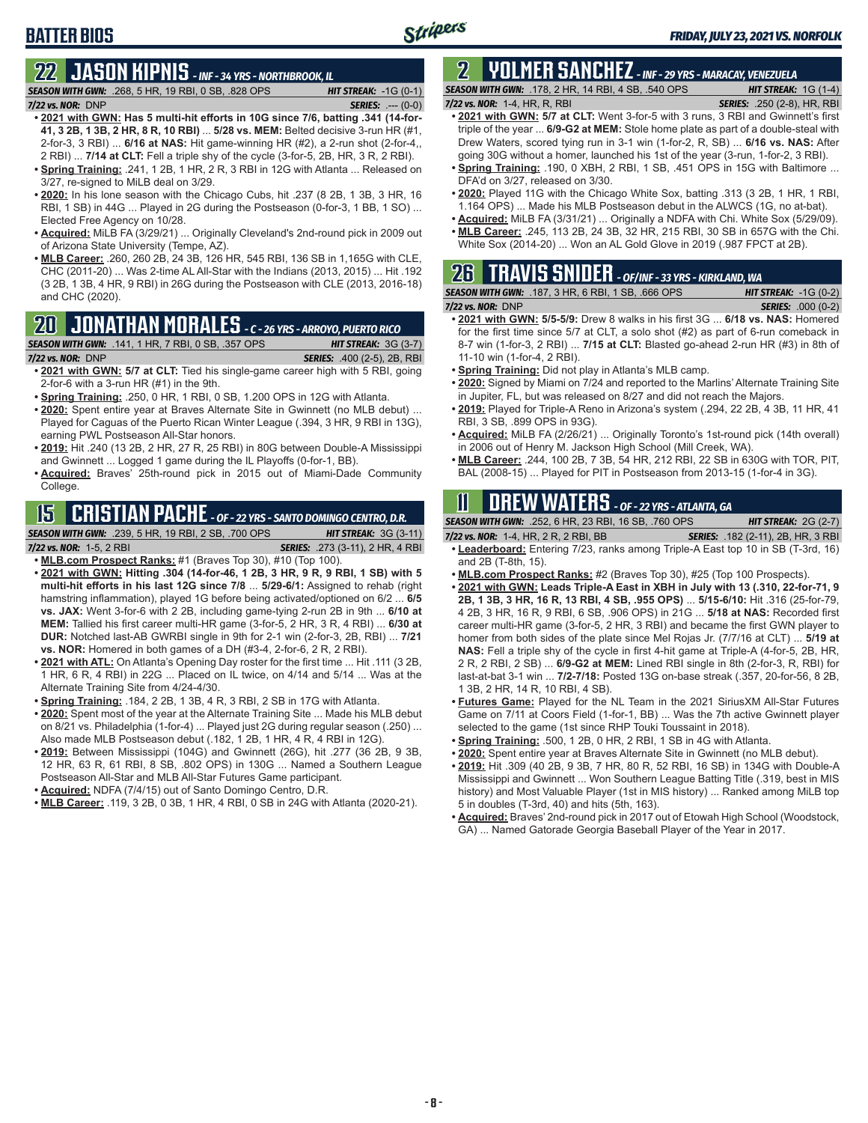## **BATTER BIOS**

## **22 JASON KIPNIS** *- INF - 34 YRS - NORTHBROOK, IL*

*SEASON WITH GWN:*.268, 5 HR, 19 RBI, 0 SB, .828 OPS *HIT STREAK:* -1G (0-1) *7/22 vs. NOR:*DNP *SERIES:* .--- (0-0)

- **• 2021 with GWN: Has 5 multi-hit efforts in 10G since 7/6, batting .341 (14-for-41, 3 2B, 1 3B, 2 HR, 8 R, 10 RBI)** ... **5/28 vs. MEM:** Belted decisive 3-run HR (#1, 2-for-3, 3 RBI) ... **6/16 at NAS:** Hit game-winning HR (#2), a 2-run shot (2-for-4,, 2 RBI) ... **7/14 at CLT:** Fell a triple shy of the cycle (3-for-5, 2B, HR, 3 R, 2 RBI).
- **• Spring Training:** .241, 1 2B, 1 HR, 2 R, 3 RBI in 12G with Atlanta ... Released on 3/27, re-signed to MiLB deal on 3/29.
- **• 2020:** In his lone season with the Chicago Cubs, hit .237 (8 2B, 1 3B, 3 HR, 16 RBI, 1 SB) in 44G ... Played in 2G during the Postseason (0-for-3, 1 BB, 1 SO) ... Elected Free Agency on 10/28.
- **• Acquired:** MiLB FA (3/29/21) ... Originally Cleveland's 2nd-round pick in 2009 out of Arizona State University (Tempe, AZ).
- **• MLB Career:** .260, 260 2B, 24 3B, 126 HR, 545 RBI, 136 SB in 1,165G with CLE, CHC (2011-20) ... Was 2-time AL All-Star with the Indians (2013, 2015) ... Hit .192 (3 2B, 1 3B, 4 HR, 9 RBI) in 26G during the Postseason with CLE (2013, 2016-18) and CHC (2020).

### **20 JONATHAN MORALES** *- C - 26 YRS - ARROYO, PUERTO RICO*

*SEASON WITH GWN:*.141, 1 HR, 7 RBI, 0 SB, .357 OPS *HIT STREAK:* 3G (3-7)

*7/22 vs. NOR:*DNP *SERIES:* .400 (2-5), 2B, RBI

- **• 2021 with GWN: 5/7 at CLT:** Tied his single-game career high with 5 RBI, going 2-for-6 with a 3-run HR (#1) in the 9th.
- **• Spring Training:** .250, 0 HR, 1 RBI, 0 SB, 1.200 OPS in 12G with Atlanta.
- **• 2020:** Spent entire year at Braves Alternate Site in Gwinnett (no MLB debut) ... Played for Caguas of the Puerto Rican Winter League (.394, 3 HR, 9 RBI in 13G), earning PWL Postseason All-Star honors.
- **• 2019:** Hit .240 (13 2B, 2 HR, 27 R, 25 RBI) in 80G between Double-A Mississippi and Gwinnett ... Logged 1 game during the IL Playoffs (0-for-1, BB).
- **• Acquired:** Braves' 25th-round pick in 2015 out of Miami-Dade Community College.

## **15 CRISTIAN PACHE** *- OF - 22 YRS - SANTO DOMINGO CENTRO, D.R.*

*SEASON WITH GWN:*.239, 5 HR, 19 RBI, 2 SB, .700 OPS *HIT STREAK:* 3G (3-11)

*7/22 vs. NOR:* 1-5, 2 RBI *SERIES:* .273 (3-11), 2 HR, 4 RBI

- **• MLB.com Prospect Ranks:** #1 (Braves Top 30), #10 (Top 100). **• 2021 with GWN: Hitting .304 (14-for-46, 1 2B, 3 HR, 9 R, 9 RBI, 1 SB) with 5 multi-hit efforts in his last 12G since 7/8** ... **5/29-6/1:** Assigned to rehab (right hamstring inflammation), played 1G before being activated/optioned on 6/2 ... **6/5 vs. JAX:** Went 3-for-6 with 2 2B, including game-tying 2-run 2B in 9th ... **6/10 at MEM:** Tallied his first career multi-HR game (3-for-5, 2 HR, 3 R, 4 RBI) ... **6/30 at DUR:** Notched last-AB GWRBI single in 9th for 2-1 win (2-for-3, 2B, RBI) ... **7/21 vs. NOR:** Homered in both games of a DH (#3-4, 2-for-6, 2 R, 2 RBI).
- **• 2021 with ATL:** On Atlanta's Opening Day roster for the first time ... Hit .111 (3 2B, 1 HR, 6 R, 4 RBI) in 22G ... Placed on IL twice, on 4/14 and 5/14 ... Was at the Alternate Training Site from 4/24-4/30.
- **• Spring Training:** .184, 2 2B, 1 3B, 4 R, 3 RBI, 2 SB in 17G with Atlanta.
- **• 2020:** Spent most of the year at the Alternate Training Site ... Made his MLB debut on 8/21 vs. Philadelphia (1-for-4) ... Played just 2G during regular season (.250) ... Also made MLB Postseason debut (.182, 1 2B, 1 HR, 4 R, 4 RBI in 12G).
- **• 2019:** Between Mississippi (104G) and Gwinnett (26G), hit .277 (36 2B, 9 3B, 12 HR, 63 R, 61 RBI, 8 SB, .802 OPS) in 130G ... Named a Southern League Postseason All-Star and MLB All-Star Futures Game participant.
- **• Acquired:** NDFA (7/4/15) out of Santo Domingo Centro, D.R.
- **• MLB Career:** .119, 3 2B, 0 3B, 1 HR, 4 RBI, 0 SB in 24G with Atlanta (2020-21).

## **2 YOLMER SANCHEZ** *- INF - 29 YRS - MARACAY, VENEZUELA*

*SEASON WITH GWN:*.178, 2 HR, 14 RBI, 4 SB, .540 OPS *HIT STREAK:* 1G (1-4)

### *7/22 vs. NOR:*1-4, HR, R, RBI *SERIES:* .250 (2-8), HR, RBI

- **• 2021 with GWN: 5/7 at CLT:** Went 3-for-5 with 3 runs, 3 RBI and Gwinnett's first triple of the year ... **6/9-G2 at MEM:** Stole home plate as part of a double-steal with Drew Waters, scored tying run in 3-1 win (1-for-2, R, SB) ... **6/16 vs. NAS:** After going 30G without a homer, launched his 1st of the year (3-run, 1-for-2, 3 RBI).
- **• Spring Training:** .190, 0 XBH, 2 RBI, 1 SB, .451 OPS in 15G with Baltimore ... DFA'd on 3/27, released on 3/30.
- **• 2020:** Played 11G with the Chicago White Sox, batting .313 (3 2B, 1 HR, 1 RBI, 1.164 OPS) ... Made his MLB Postseason debut in the ALWCS (1G, no at-bat).
- **• Acquired:** MiLB FA (3/31/21) ... Originally a NDFA with Chi. White Sox (5/29/09). **• MLB Career:** .245, 113 2B, 24 3B, 32 HR, 215 RBI, 30 SB in 657G with the Chi.
- White Sox (2014-20) ... Won an AL Gold Glove in 2019 (.987 FPCT at 2B).

#### **26 TRAVIS SNIDER** *- OF/INF - 33 YRS - KIRKLAND, WA SEASON WITH GWN:*.187, 3 HR, 6 RBI, 1 SB, .666 OPS *HIT STREAK:* -1G (0-2)

*7/22 vs. NOR:* DNP *SERIES:* .000 (0-2)

- **• 2021 with GWN: 5/5-5/9:** Drew 8 walks in his first 3G ... **6/18 vs. NAS:** Homered for the first time since 5/7 at CLT, a solo shot (#2) as part of 6-run comeback in 8-7 win (1-for-3, 2 RBI) ... **7/15 at CLT:** Blasted go-ahead 2-run HR (#3) in 8th of 11-10 win (1-for-4, 2 RBI).
- **• Spring Training:** Did not play in Atlanta's MLB camp.
- **• 2020:** Signed by Miami on 7/24 and reported to the Marlins' Alternate Training Site in Jupiter, FL, but was released on 8/27 and did not reach the Majors.
- **• 2019:** Played for Triple-A Reno in Arizona's system (.294, 22 2B, 4 3B, 11 HR, 41 RBI, 3 SB, .899 OPS in 93G).
- **• Acquired:** MiLB FA (2/26/21) ... Originally Toronto's 1st-round pick (14th overall) in 2006 out of Henry M. Jackson High School (Mill Creek, WA).
- **• MLB Career:** .244, 100 2B, 7 3B, 54 HR, 212 RBI, 22 SB in 630G with TOR, PIT, BAL (2008-15) ... Played for PIT in Postseason from 2013-15 (1-for-4 in 3G).

## **11 Drew WATERS** *- OF - 22 YRS - ATLANTA, GA*

| <b>SEASON WITH GWN:</b> .252, 6 HR, 23 RBI, 16 SB, .760 OPS | <b>HIT STREAK:</b> $2G(2-7)$              |
|-------------------------------------------------------------|-------------------------------------------|
| 7/22 vs. NOR: $1-4$ , HR, $2$ R, $2$ RBI, BB                | <b>SERIES:</b> .182 (2-11), 2B, HR, 3 RBI |

- **• Leaderboard:** Entering 7/23, ranks among Triple-A East top 10 in SB (T-3rd, 16) and 2B (T-8th, 15).
- **• MLB.com Prospect Ranks:** #2 (Braves Top 30), #25 (Top 100 Prospects).
- **• 2021 with GWN: Leads Triple-A East in XBH in July with 13 (.310, 22-for-71, 9 2B, 1 3B, 3 HR, 16 R, 13 RBI, 4 SB, .955 OPS)** ... **5/15-6/10:** Hit .316 (25-for-79, 4 2B, 3 HR, 16 R, 9 RBI, 6 SB, .906 OPS) in 21G ... **5/18 at NAS:** Recorded first career multi-HR game (3-for-5, 2 HR, 3 RBI) and became the first GWN player to homer from both sides of the plate since Mel Rojas Jr. (7/7/16 at CLT) ... **5/19 at NAS:** Fell a triple shy of the cycle in first 4-hit game at Triple-A (4-for-5, 2B, HR, 2 R, 2 RBI, 2 SB) ... **6/9-G2 at MEM:** Lined RBI single in 8th (2-for-3, R, RBI) for last-at-bat 3-1 win ... **7/2-7/18:** Posted 13G on-base streak (.357, 20-for-56, 8 2B, 1 3B, 2 HR, 14 R, 10 RBI, 4 SB).
- **• Futures Game:** Played for the NL Team in the 2021 SiriusXM All-Star Futures Game on 7/11 at Coors Field (1-for-1, BB) ... Was the 7th active Gwinnett player selected to the game (1st since RHP Touki Toussaint in 2018).
- **• Spring Training:** .500, 1 2B, 0 HR, 2 RBI, 1 SB in 4G with Atlanta.
- **• 2020:** Spent entire year at Braves Alternate Site in Gwinnett (no MLB debut).
- **• 2019:** Hit .309 (40 2B, 9 3B, 7 HR, 80 R, 52 RBI, 16 SB) in 134G with Double-A Mississippi and Gwinnett ... Won Southern League Batting Title (.319, best in MIS history) and Most Valuable Player (1st in MIS history) ... Ranked among MiLB top 5 in doubles (T-3rd, 40) and hits (5th, 163).
- **• Acquired:** Braves' 2nd-round pick in 2017 out of Etowah High School (Woodstock, GA) ... Named Gatorade Georgia Baseball Player of the Year in 2017.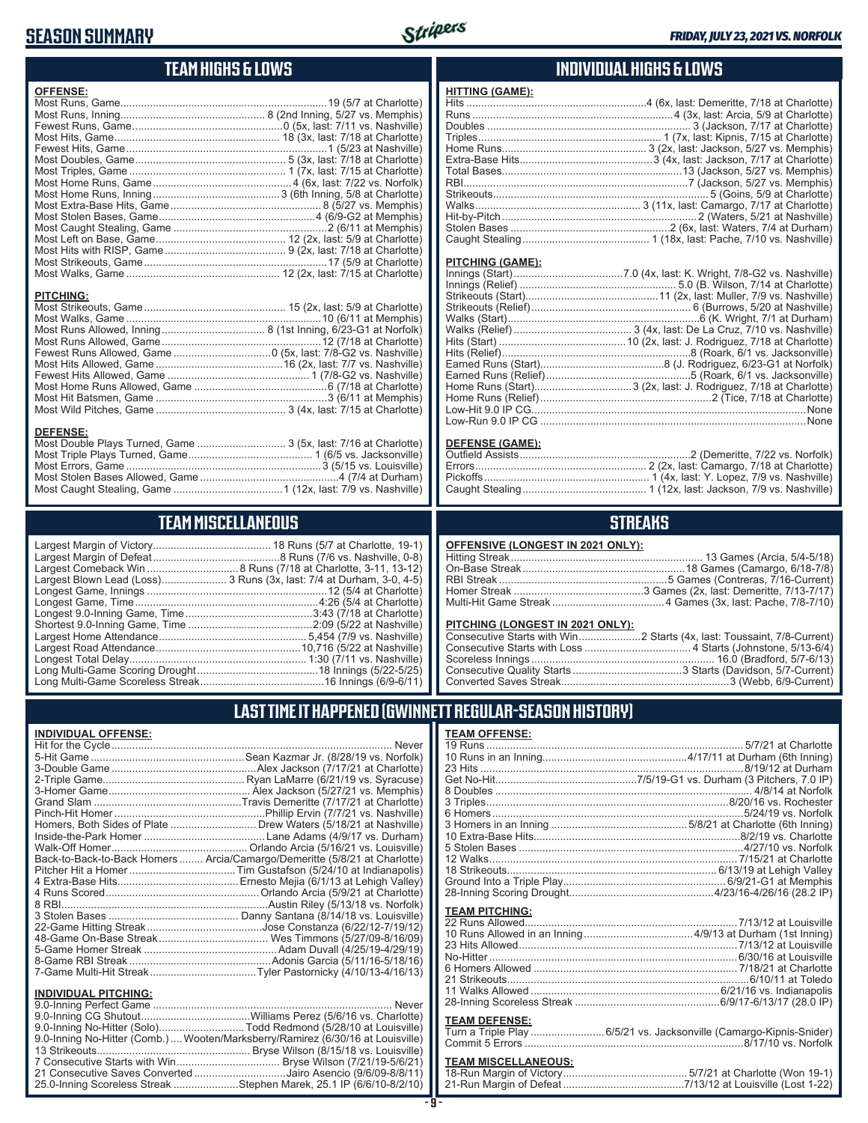### **SEASON SUMMARY**



### **TEAM HIGHS & LOWS**

| <b>OFFENSE:</b>  |  |
|------------------|--|
|                  |  |
|                  |  |
|                  |  |
|                  |  |
|                  |  |
|                  |  |
|                  |  |
|                  |  |
|                  |  |
|                  |  |
|                  |  |
|                  |  |
|                  |  |
|                  |  |
|                  |  |
|                  |  |
|                  |  |
| <b>PITCHING:</b> |  |
|                  |  |
|                  |  |
|                  |  |
|                  |  |
|                  |  |
|                  |  |
|                  |  |
|                  |  |
|                  |  |

#### Most Wild Pitches, Game ............................................ 3 (4x, last: 7/15 at Charlotte) **DEFENSE:**

| DEFENSE.                                                        |  |
|-----------------------------------------------------------------|--|
| Most Double Plays Turned, Game  3 (5x, last: 7/16 at Charlotte) |  |
|                                                                 |  |
|                                                                 |  |
|                                                                 |  |
|                                                                 |  |
|                                                                 |  |

## **TEAM MISCELLANEOUS**

| Largest Blown Lead (Loss) 3 Runs (3x, last: 7/4 at Durham, 3-0, 4-5) |
|----------------------------------------------------------------------|
|                                                                      |
|                                                                      |
|                                                                      |
|                                                                      |
|                                                                      |
|                                                                      |
|                                                                      |
|                                                                      |
|                                                                      |

### **INDIVIDUAL HIGHS & LOWS**

| <b>HITTING (GAME):</b> |  |
|------------------------|--|
|                        |  |
|                        |  |
|                        |  |
|                        |  |
|                        |  |
|                        |  |
|                        |  |
|                        |  |
|                        |  |
|                        |  |
|                        |  |
|                        |  |
|                        |  |

#### **PITCHING (GAME):**

#### **DEFENSE (GAME):**

### **STREAKS**

#### **OFFENSIVE (LONGEST IN 2021 ONLY):**

#### **PITCHING (LONGEST IN 2021 ONLY):**

### **LAST TIME IT HAPPENED (GWINNETT REGULAR-SEASON HISTORY)**

#### **INDIVIDUAL OFFENSE:**

|                                                        | Homers, Both Sides of Plate  Drew Waters (5/18/21 at Nashville)            |
|--------------------------------------------------------|----------------------------------------------------------------------------|
|                                                        |                                                                            |
|                                                        |                                                                            |
|                                                        | Back-to-Back-to-Back Homers  Arcia/Camargo/Demeritte (5/8/21 at Charlotte) |
|                                                        |                                                                            |
|                                                        |                                                                            |
|                                                        |                                                                            |
|                                                        |                                                                            |
|                                                        |                                                                            |
|                                                        |                                                                            |
|                                                        |                                                                            |
|                                                        |                                                                            |
|                                                        |                                                                            |
|                                                        |                                                                            |
|                                                        |                                                                            |
| <b>INDIVIDUAL PITCHING:</b><br>9 0-Inning Perfect Game | Never                                                                      |
|                                                        |                                                                            |

| 9.0-Inning No-Hitter (Solo)Todd Redmond (5/28/10 at Louisville)                 |  |
|---------------------------------------------------------------------------------|--|
| 9.0-Inning No-Hitter (Comb.)  Wooten/Marksberry/Ramirez (6/30/16 at Louisville) |  |
|                                                                                 |  |
|                                                                                 |  |
| 21 Consecutive Saves Converted Jairo Asencio (9/6/09-8/8/11)                    |  |
| 25.0-Inning Scoreless Streak Stephen Marek, 25.1 IP (6/6/10-8/2/10)             |  |
|                                                                                 |  |

#### **TEAM OFFENSE:**

| <b>TEAM PITCHING:</b> |  |
|-----------------------|--|
|                       |  |
|                       |  |
|                       |  |
|                       |  |
|                       |  |
|                       |  |
|                       |  |
|                       |  |
| TEAM DECENCE.         |  |

#### <u>EFENSE:</u>

| Turn a Triple Play 6/5/21 vs. Jacksonville (Camargo-Kipnis-Snider) |
|--------------------------------------------------------------------|
|                                                                    |

| <b>TEAM MISCELLANEOUS:</b> |  |
|----------------------------|--|
|                            |  |
|                            |  |